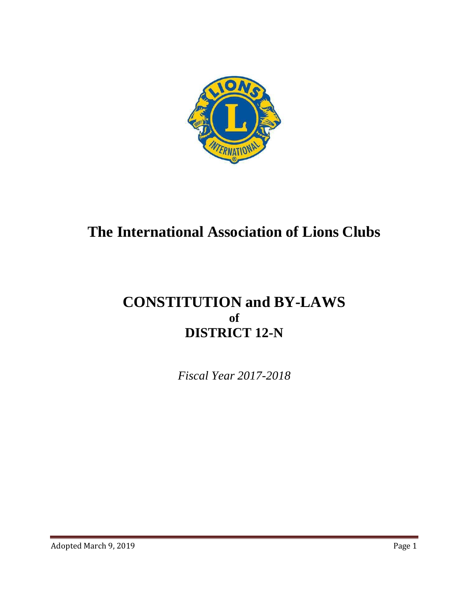

# **The International Association of Lions Clubs**

# **CONSTITUTION and BY-LAWS of DISTRICT 12-N**

*Fiscal Year 2017-2018*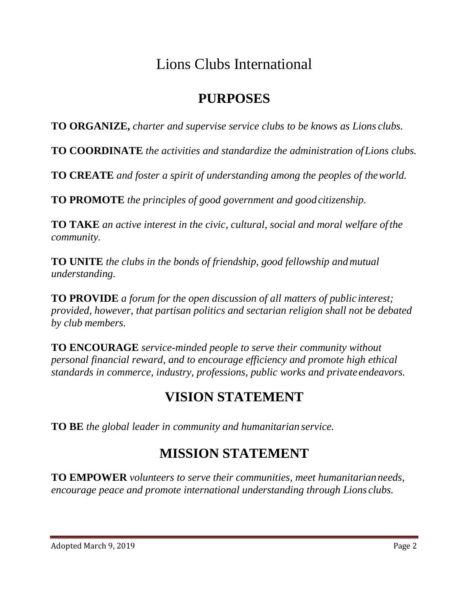# Lions Clubs International

# **PURPOSES**

**TO ORGANIZE,** *charter and supervise service clubs to be knows as Lions clubs.*

**TO COORDINATE** *the activities and standardize the administration ofLions clubs.*

**TO CREATE** *and foster a spirit of understanding among the peoples of theworld.*

**TO PROMOTE** *the principles of good government and goodcitizenship.*

**TO TAKE** *an active interest in the civic, cultural, social and moral welfare ofthe community.*

**TO UNITE** *the clubs in the bonds of friendship, good fellowship andmutual understanding.*

**TO PROVIDE** *a forum for the open discussion of all matters of public interest; provided, however, that partisan politics and sectarian religion shall not be debated by club members.*

**TO ENCOURAGE** *service-minded people to serve their community without personal financial reward, and to encourage efficiency and promote high ethical standards in commerce, industry, professions, public works and private endeavors.* 

# **VISION STATEMENT**

**TO BE** *the global leader in community and humanitarian service.*

# **MISSION STATEMENT**

**TO EMPOWER** *volunteers to serve their communities, meet humanitarianneeds, encourage peace and promote international understanding through Lions clubs.*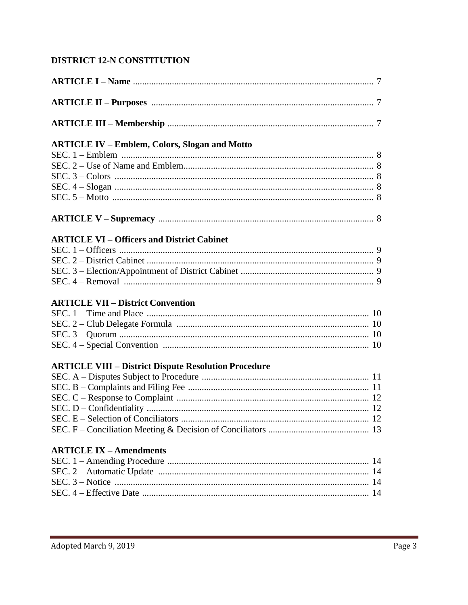## DISTRICT 12-N CONSTITUTION

| <b>ARTICLE IV - Emblem, Colors, Slogan and Motto</b>        |  |
|-------------------------------------------------------------|--|
|                                                             |  |
|                                                             |  |
|                                                             |  |
|                                                             |  |
|                                                             |  |
|                                                             |  |
| <b>ARTICLE VI - Officers and District Cabinet</b>           |  |
|                                                             |  |
|                                                             |  |
|                                                             |  |
|                                                             |  |
|                                                             |  |
| <b>ARTICLE VII - District Convention</b>                    |  |
|                                                             |  |
|                                                             |  |
|                                                             |  |
|                                                             |  |
| <b>ARTICLE VIII – District Dispute Resolution Procedure</b> |  |
|                                                             |  |
|                                                             |  |
|                                                             |  |
|                                                             |  |
|                                                             |  |
|                                                             |  |
| <b>ARTICLE IX - Amendments</b>                              |  |
|                                                             |  |
|                                                             |  |
|                                                             |  |
|                                                             |  |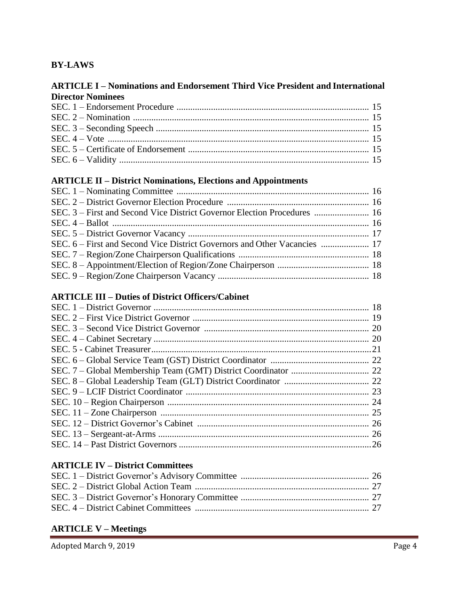## **BY-LAWS**

#### **ARTICLE I – Nominations and Endorsement Third Vice President and International Director Nominees**

#### **ARTICLE II – District Nominations, Elections and Appointments**

#### **ARTICLE III – Duties of District Officers/Cabinet**

| 24 |
|----|
| 25 |
|    |
| 26 |
|    |

#### **ARTICLE IV – District Committees**

#### **ARTICLE V – Meetings**

Adopted March 9, 2019 Page 4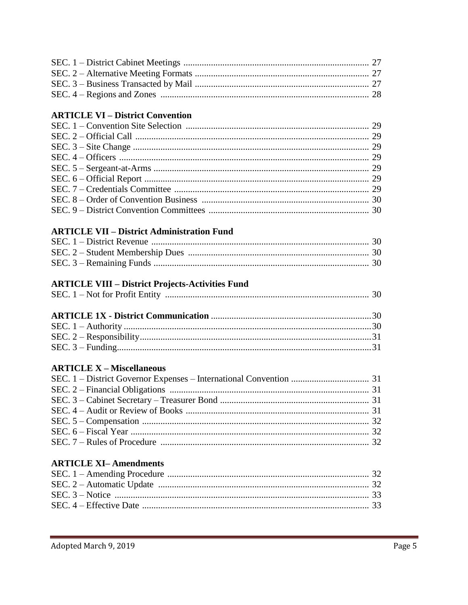## **ARTICLE VI - District Convention**

## **ARTICLE VII - District Administration Fund**

## **ARTICLE VIII - District Projects-Activities Fund**

| SEC. $1 - Not$ for Profit Entity |  |  |  |
|----------------------------------|--|--|--|
|----------------------------------|--|--|--|

## **ARTICLE X - Miscellaneous**

## **ARTICLE XI-Amendments**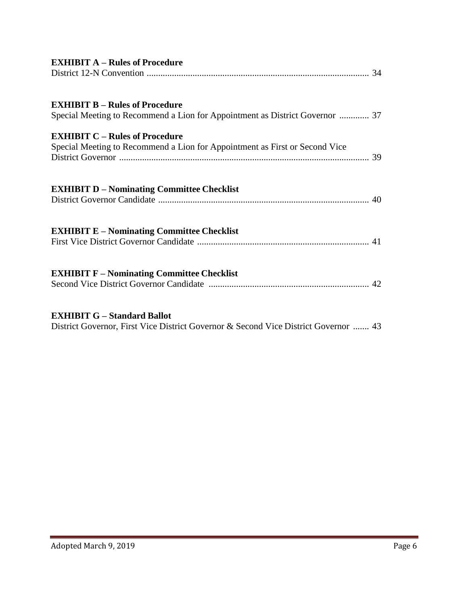| <b>EXHIBIT A – Rules of Procedure</b>                                                                                     |  |
|---------------------------------------------------------------------------------------------------------------------------|--|
|                                                                                                                           |  |
|                                                                                                                           |  |
| <b>EXHIBIT B - Rules of Procedure</b><br>Special Meeting to Recommend a Lion for Appointment as District Governor  37     |  |
| <b>EXHIBIT C - Rules of Procedure</b>                                                                                     |  |
| Special Meeting to Recommend a Lion for Appointment as First or Second Vice                                               |  |
|                                                                                                                           |  |
| <b>EXHIBIT D - Nominating Committee Checklist</b>                                                                         |  |
|                                                                                                                           |  |
| <b>EXHIBIT E – Nominating Committee Checklist</b>                                                                         |  |
|                                                                                                                           |  |
|                                                                                                                           |  |
| <b>EXHIBIT F – Nominating Committee Checklist</b>                                                                         |  |
|                                                                                                                           |  |
|                                                                                                                           |  |
| <b>EXHIBIT G - Standard Ballot</b><br>District Governor, First Vice District Governor & Second Vice District Governor  43 |  |
|                                                                                                                           |  |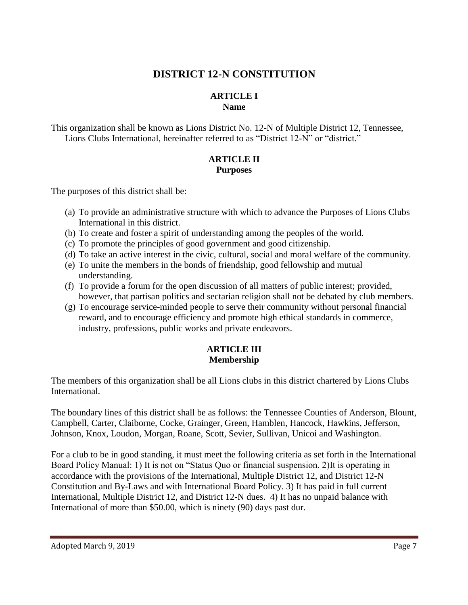## **DISTRICT 12-N CONSTITUTION**

## **ARTICLE I Name**

This organization shall be known as Lions District No. 12-N of Multiple District 12, Tennessee, Lions Clubs International, hereinafter referred to as "District 12-N" or "district."

### **ARTICLE II Purposes**

The purposes of this district shall be:

- (a) To provide an administrative structure with which to advance the Purposes of Lions Clubs International in this district.
- (b) To create and foster a spirit of understanding among the peoples of the world.
- (c) To promote the principles of good government and good citizenship.
- (d) To take an active interest in the civic, cultural, social and moral welfare of the community.
- (e) To unite the members in the bonds of friendship, good fellowship and mutual understanding.
- (f) To provide a forum for the open discussion of all matters of public interest; provided, however, that partisan politics and sectarian religion shall not be debated by club members.
- (g) To encourage service-minded people to serve their community without personal financial reward, and to encourage efficiency and promote high ethical standards in commerce, industry, professions, public works and private endeavors.

## **ARTICLE III Membership**

The members of this organization shall be all Lions clubs in this district chartered by Lions Clubs International.

The boundary lines of this district shall be as follows: the Tennessee Counties of Anderson, Blount, Campbell, Carter, Claiborne, Cocke, Grainger, Green, Hamblen, Hancock, Hawkins, Jefferson, Johnson, Knox, Loudon, Morgan, Roane, Scott, Sevier, Sullivan, Unicoi and Washington.

For a club to be in good standing, it must meet the following criteria as set forth in the International Board Policy Manual: 1) It is not on "Status Quo or financial suspension. 2)It is operating in accordance with the provisions of the International, Multiple District 12, and District 12-N Constitution and By-Laws and with International Board Policy. 3) It has paid in full current International, Multiple District 12, and District 12-N dues. 4) It has no unpaid balance with International of more than \$50.00, which is ninety (90) days past dur.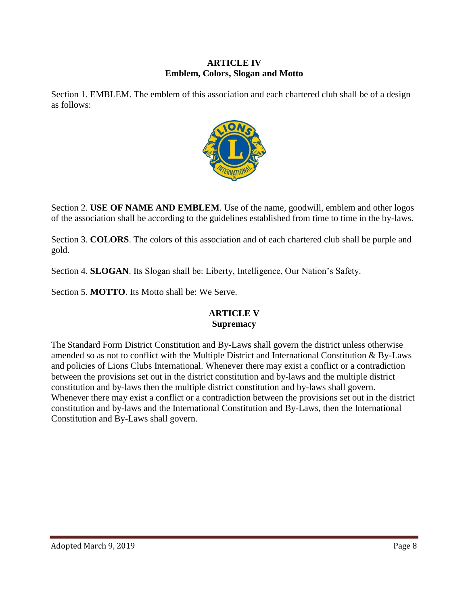#### **ARTICLE IV Emblem, Colors, Slogan and Motto**

Section 1. EMBLEM. The emblem of this association and each chartered club shall be of a design as follows:



Section 2. **USE OF NAME AND EMBLEM**. Use of the name, goodwill, emblem and other logos of the association shall be according to the guidelines established from time to time in the by-laws.

Section 3. **COLORS**. The colors of this association and of each chartered club shall be purple and gold.

Section 4. **SLOGAN**. Its Slogan shall be: Liberty, Intelligence, Our Nation's Safety.

Section 5. **MOTTO**. Its Motto shall be: We Serve.

## **ARTICLE V Supremacy**

The Standard Form District Constitution and By-Laws shall govern the district unless otherwise amended so as not to conflict with the Multiple District and International Constitution  $\&$  By-Laws and policies of Lions Clubs International. Whenever there may exist a conflict or a contradiction between the provisions set out in the district constitution and by-laws and the multiple district constitution and by-laws then the multiple district constitution and by-laws shall govern. Whenever there may exist a conflict or a contradiction between the provisions set out in the district constitution and by-laws and the International Constitution and By-Laws, then the International Constitution and By-Laws shall govern.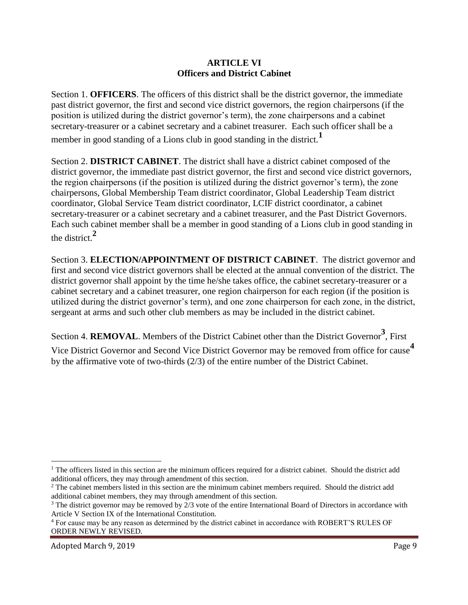#### **ARTICLE VI Officers and District Cabinet**

Section 1. **OFFICERS**. The officers of this district shall be the district governor, the immediate past district governor, the first and second vice district governors, the region chairpersons (if the position is utilized during the district governor's term), the zone chairpersons and a cabinet secretary-treasurer or a cabinet secretary and a cabinet treasurer. Each such officer shall be a

member in good standing of a Lions club in good standing in the district.**<sup>1</sup>**

Section 2. **DISTRICT CABINET**. The district shall have a district cabinet composed of the district governor, the immediate past district governor, the first and second vice district governors, the region chairpersons (if the position is utilized during the district governor's term), the zone chairpersons, Global Membership Team district coordinator, Global Leadership Team district coordinator, Global Service Team district coordinator, LCIF district coordinator, a cabinet secretary-treasurer or a cabinet secretary and a cabinet treasurer, and the Past District Governors. Each such cabinet member shall be a member in good standing of a Lions club in good standing in the district.**<sup>2</sup>**

Section 3. **ELECTION/APPOINTMENT OF DISTRICT CABINET**. The district governor and first and second vice district governors shall be elected at the annual convention of the district. The district governor shall appoint by the time he/she takes office, the cabinet secretary-treasurer or a cabinet secretary and a cabinet treasurer, one region chairperson for each region (if the position is utilized during the district governor's term), and one zone chairperson for each zone, in the district, sergeant at arms and such other club members as may be included in the district cabinet.

Section 4. **REMOVAL**. Members of the District Cabinet other than the District Governor**<sup>3</sup>** , First Vice District Governor and Second Vice District Governor may be removed from office for cause**<sup>4</sup>** by the affirmative vote of two-thirds (2/3) of the entire number of the District Cabinet.

Adopted March 9, 2019 Page 9

 $\overline{a}$ 

<sup>&</sup>lt;sup>1</sup> The officers listed in this section are the minimum officers required for a district cabinet. Should the district add additional officers, they may through amendment of this section.

<sup>2</sup> The cabinet members listed in this section are the minimum cabinet members required. Should the district add additional cabinet members, they may through amendment of this section.

 $3$  The district governor may be removed by  $2/3$  vote of the entire International Board of Directors in accordance with Article V Section IX of the International Constitution.

<sup>4</sup> For cause may be any reason as determined by the district cabinet in accordance with ROBERT'S RULES OF ORDER NEWLY REVISED.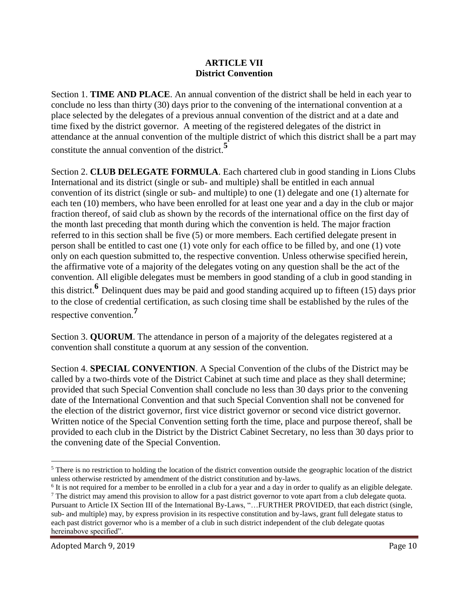#### **ARTICLE VII District Convention**

Section 1. **TIME AND PLACE**. An annual convention of the district shall be held in each year to conclude no less than thirty (30) days prior to the convening of the international convention at a place selected by the delegates of a previous annual convention of the district and at a date and time fixed by the district governor. A meeting of the registered delegates of the district in attendance at the annual convention of the multiple district of which this district shall be a part may constitute the annual convention of the district.**<sup>5</sup>**

Section 2. **CLUB DELEGATE FORMULA**. Each chartered club in good standing in Lions Clubs International and its district (single or sub- and multiple) shall be entitled in each annual convention of its district (single or sub- and multiple) to one (1) delegate and one (1) alternate for each ten (10) members, who have been enrolled for at least one year and a day in the club or major fraction thereof, of said club as shown by the records of the international office on the first day of the month last preceding that month during which the convention is held. The major fraction referred to in this section shall be five (5) or more members. Each certified delegate present in person shall be entitled to cast one (1) vote only for each office to be filled by, and one (1) vote only on each question submitted to, the respective convention. Unless otherwise specified herein, the affirmative vote of a majority of the delegates voting on any question shall be the act of the convention. All eligible delegates must be members in good standing of a club in good standing in this district.**<sup>6</sup>** Delinquent dues may be paid and good standing acquired up to fifteen (15) days prior to the close of credential certification, as such closing time shall be established by the rules of the respective convention.**<sup>7</sup>**

Section 3. **QUORUM**. The attendance in person of a majority of the delegates registered at a convention shall constitute a quorum at any session of the convention.

Section 4. **SPECIAL CONVENTION**. A Special Convention of the clubs of the District may be called by a two-thirds vote of the District Cabinet at such time and place as they shall determine; provided that such Special Convention shall conclude no less than 30 days prior to the convening date of the International Convention and that such Special Convention shall not be convened for the election of the district governor, first vice district governor or second vice district governor. Written notice of the Special Convention setting forth the time, place and purpose thereof, shall be provided to each club in the District by the District Cabinet Secretary, no less than 30 days prior to the convening date of the Special Convention.

 $\overline{a}$ 

<sup>&</sup>lt;sup>5</sup> There is no restriction to holding the location of the district convention outside the geographic location of the district unless otherwise restricted by amendment of the district constitution and by-laws.

<sup>&</sup>lt;sup>6</sup> It is not required for a member to be enrolled in a club for a year and a day in order to qualify as an eligible delegate. <sup>7</sup> The district may amend this provision to allow for a past district governor to vote apart from a club delegate quota. Pursuant to Article IX Section III of the International By-Laws, "…FURTHER PROVIDED, that each district (single, sub- and multiple) may, by express provision in its respective constitution and by-laws, grant full delegate status to each past district governor who is a member of a club in such district independent of the club delegate quotas hereinabove specified".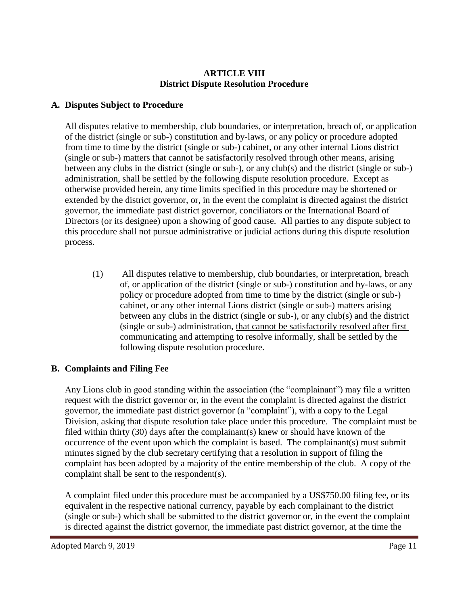### **ARTICLE VIII District Dispute Resolution Procedure**

### **A. Disputes Subject to Procedure**

All disputes relative to membership, club boundaries, or interpretation, breach of, or application of the district (single or sub-) constitution and by-laws, or any policy or procedure adopted from time to time by the district (single or sub-) cabinet, or any other internal Lions district (single or sub-) matters that cannot be satisfactorily resolved through other means, arising between any clubs in the district (single or sub-), or any club(s) and the district (single or sub-) administration, shall be settled by the following dispute resolution procedure. Except as otherwise provided herein, any time limits specified in this procedure may be shortened or extended by the district governor, or, in the event the complaint is directed against the district governor, the immediate past district governor, conciliators or the International Board of Directors (or its designee) upon a showing of good cause. All parties to any dispute subject to this procedure shall not pursue administrative or judicial actions during this dispute resolution process.

(1) All disputes relative to membership, club boundaries, or interpretation, breach of, or application of the district (single or sub-) constitution and by-laws, or any policy or procedure adopted from time to time by the district (single or sub-) cabinet, or any other internal Lions district (single or sub-) matters arising between any clubs in the district (single or sub-), or any club(s) and the district (single or sub-) administration, that cannot be satisfactorily resolved after first communicating and attempting to resolve informally, shall be settled by the following dispute resolution procedure.

## **B. Complaints and Filing Fee**

Any Lions club in good standing within the association (the "complainant") may file a written request with the district governor or, in the event the complaint is directed against the district governor, the immediate past district governor (a "complaint"), with a copy to the Legal Division, asking that dispute resolution take place under this procedure. The complaint must be filed within thirty (30) days after the complainant(s) knew or should have known of the occurrence of the event upon which the complaint is based. The complainant(s) must submit minutes signed by the club secretary certifying that a resolution in support of filing the complaint has been adopted by a majority of the entire membership of the club. A copy of the complaint shall be sent to the respondent(s).

A complaint filed under this procedure must be accompanied by a US\$750.00 filing fee, or its equivalent in the respective national currency, payable by each complainant to the district (single or sub-) which shall be submitted to the district governor or, in the event the complaint is directed against the district governor, the immediate past district governor, at the time the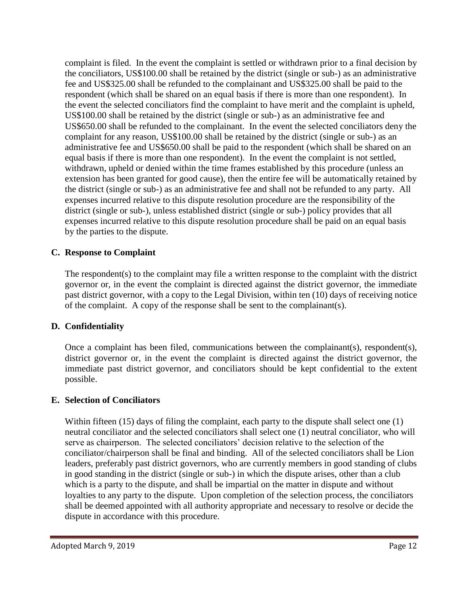complaint is filed. In the event the complaint is settled or withdrawn prior to a final decision by the conciliators, US\$100.00 shall be retained by the district (single or sub-) as an administrative fee and US\$325.00 shall be refunded to the complainant and US\$325.00 shall be paid to the respondent (which shall be shared on an equal basis if there is more than one respondent). In the event the selected conciliators find the complaint to have merit and the complaint is upheld, US\$100.00 shall be retained by the district (single or sub-) as an administrative fee and US\$650.00 shall be refunded to the complainant. In the event the selected conciliators deny the complaint for any reason, US\$100.00 shall be retained by the district (single or sub-) as an administrative fee and US\$650.00 shall be paid to the respondent (which shall be shared on an equal basis if there is more than one respondent). In the event the complaint is not settled, withdrawn, upheld or denied within the time frames established by this procedure (unless an extension has been granted for good cause), then the entire fee will be automatically retained by the district (single or sub-) as an administrative fee and shall not be refunded to any party. All expenses incurred relative to this dispute resolution procedure are the responsibility of the district (single or sub-), unless established district (single or sub-) policy provides that all expenses incurred relative to this dispute resolution procedure shall be paid on an equal basis by the parties to the dispute.

#### **C. Response to Complaint**

The respondent(s) to the complaint may file a written response to the complaint with the district governor or, in the event the complaint is directed against the district governor, the immediate past district governor, with a copy to the Legal Division, within ten (10) days of receiving notice of the complaint. A copy of the response shall be sent to the complainant(s).

#### **D. Confidentiality**

Once a complaint has been filed, communications between the complainant(s), respondent(s), district governor or, in the event the complaint is directed against the district governor, the immediate past district governor, and conciliators should be kept confidential to the extent possible.

#### **E. Selection of Conciliators**

Within fifteen (15) days of filing the complaint, each party to the dispute shall select one (1) neutral conciliator and the selected conciliators shall select one (1) neutral conciliator, who will serve as chairperson. The selected conciliators' decision relative to the selection of the conciliator/chairperson shall be final and binding. All of the selected conciliators shall be Lion leaders, preferably past district governors, who are currently members in good standing of clubs in good standing in the district (single or sub-) in which the dispute arises, other than a club which is a party to the dispute, and shall be impartial on the matter in dispute and without loyalties to any party to the dispute. Upon completion of the selection process, the conciliators shall be deemed appointed with all authority appropriate and necessary to resolve or decide the dispute in accordance with this procedure.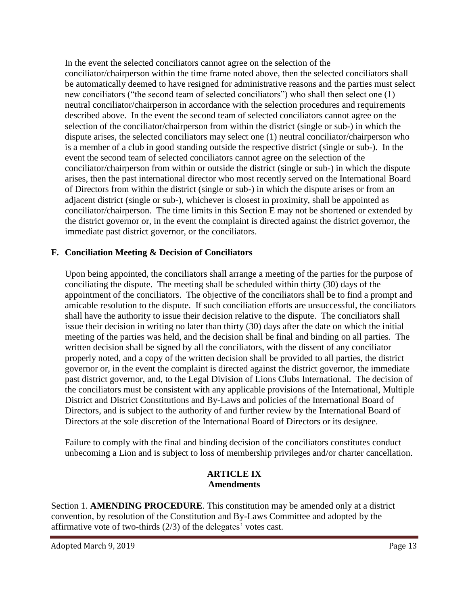In the event the selected conciliators cannot agree on the selection of the conciliator/chairperson within the time frame noted above, then the selected conciliators shall be automatically deemed to have resigned for administrative reasons and the parties must select new conciliators ("the second team of selected conciliators") who shall then select one (1) neutral conciliator/chairperson in accordance with the selection procedures and requirements described above. In the event the second team of selected conciliators cannot agree on the selection of the conciliator/chairperson from within the district (single or sub-) in which the dispute arises, the selected conciliators may select one (1) neutral conciliator/chairperson who is a member of a club in good standing outside the respective district (single or sub-). In the event the second team of selected conciliators cannot agree on the selection of the conciliator/chairperson from within or outside the district (single or sub-) in which the dispute arises, then the past international director who most recently served on the International Board of Directors from within the district (single or sub-) in which the dispute arises or from an adjacent district (single or sub-), whichever is closest in proximity, shall be appointed as conciliator/chairperson. The time limits in this Section E may not be shortened or extended by the district governor or, in the event the complaint is directed against the district governor, the immediate past district governor, or the conciliators.

#### **F. Conciliation Meeting & Decision of Conciliators**

Upon being appointed, the conciliators shall arrange a meeting of the parties for the purpose of conciliating the dispute. The meeting shall be scheduled within thirty (30) days of the appointment of the conciliators. The objective of the conciliators shall be to find a prompt and amicable resolution to the dispute. If such conciliation efforts are unsuccessful, the conciliators shall have the authority to issue their decision relative to the dispute. The conciliators shall issue their decision in writing no later than thirty (30) days after the date on which the initial meeting of the parties was held, and the decision shall be final and binding on all parties. The written decision shall be signed by all the conciliators, with the dissent of any conciliator properly noted, and a copy of the written decision shall be provided to all parties, the district governor or, in the event the complaint is directed against the district governor, the immediate past district governor, and, to the Legal Division of Lions Clubs International. The decision of the conciliators must be consistent with any applicable provisions of the International, Multiple District and District Constitutions and By-Laws and policies of the International Board of Directors, and is subject to the authority of and further review by the International Board of Directors at the sole discretion of the International Board of Directors or its designee.

Failure to comply with the final and binding decision of the conciliators constitutes conduct unbecoming a Lion and is subject to loss of membership privileges and/or charter cancellation.

#### **ARTICLE IX Amendments**

Section 1. **AMENDING PROCEDURE**. This constitution may be amended only at a district convention, by resolution of the Constitution and By-Laws Committee and adopted by the affirmative vote of two-thirds (2/3) of the delegates' votes cast.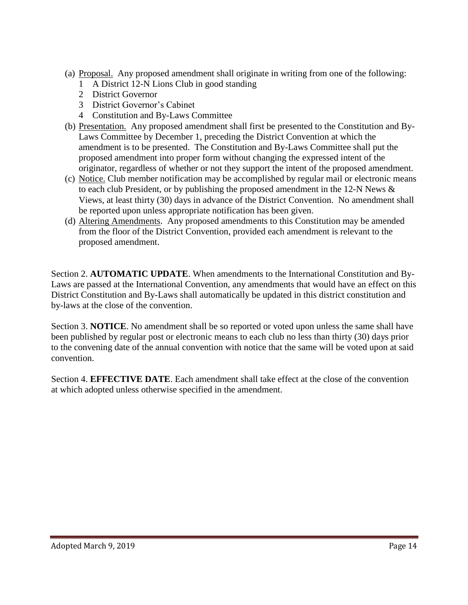- (a) Proposal. Any proposed amendment shall originate in writing from one of the following:
	- 1 A District 12-N Lions Club in good standing
	- 2 District Governor
	- 3 District Governor's Cabinet
	- 4 Constitution and By-Laws Committee
- (b) Presentation. Any proposed amendment shall first be presented to the Constitution and By-Laws Committee by December 1, preceding the District Convention at which the amendment is to be presented. The Constitution and By-Laws Committee shall put the proposed amendment into proper form without changing the expressed intent of the originator, regardless of whether or not they support the intent of the proposed amendment.
- (c) Notice. Club member notification may be accomplished by regular mail or electronic means to each club President, or by publishing the proposed amendment in the 12-N News  $\&$ Views, at least thirty (30) days in advance of the District Convention. No amendment shall be reported upon unless appropriate notification has been given.
- (d) Altering Amendments. Any proposed amendments to this Constitution may be amended from the floor of the District Convention, provided each amendment is relevant to the proposed amendment.

Section 2. **AUTOMATIC UPDATE**. When amendments to the International Constitution and By-Laws are passed at the International Convention, any amendments that would have an effect on this District Constitution and By-Laws shall automatically be updated in this district constitution and by-laws at the close of the convention.

Section 3. **NOTICE**. No amendment shall be so reported or voted upon unless the same shall have been published by regular post or electronic means to each club no less than thirty (30) days prior to the convening date of the annual convention with notice that the same will be voted upon at said convention.

Section 4. **EFFECTIVE DATE**. Each amendment shall take effect at the close of the convention at which adopted unless otherwise specified in the amendment.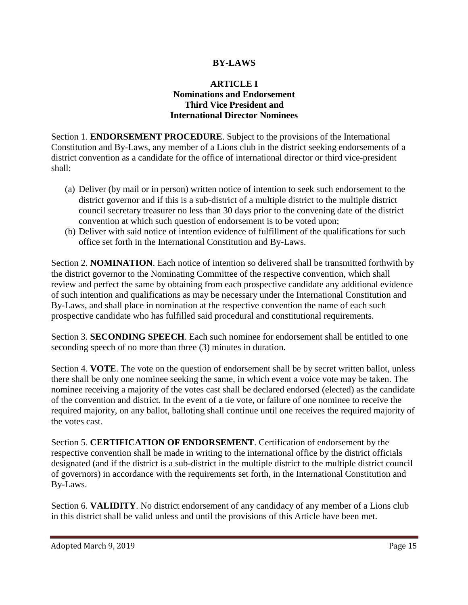## **BY-LAWS**

### **ARTICLE I Nominations and Endorsement Third Vice President and International Director Nominees**

Section 1. **ENDORSEMENT PROCEDURE**. Subject to the provisions of the International Constitution and By-Laws, any member of a Lions club in the district seeking endorsements of a district convention as a candidate for the office of international director or third vice-president shall:

- (a) Deliver (by mail or in person) written notice of intention to seek such endorsement to the district governor and if this is a sub-district of a multiple district to the multiple district council secretary treasurer no less than 30 days prior to the convening date of the district convention at which such question of endorsement is to be voted upon;
- (b) Deliver with said notice of intention evidence of fulfillment of the qualifications for such office set forth in the International Constitution and By-Laws.

Section 2. **NOMINATION**. Each notice of intention so delivered shall be transmitted forthwith by the district governor to the Nominating Committee of the respective convention, which shall review and perfect the same by obtaining from each prospective candidate any additional evidence of such intention and qualifications as may be necessary under the International Constitution and By-Laws, and shall place in nomination at the respective convention the name of each such prospective candidate who has fulfilled said procedural and constitutional requirements.

Section 3. **SECONDING SPEECH**. Each such nominee for endorsement shall be entitled to one seconding speech of no more than three (3) minutes in duration.

Section 4. **VOTE**. The vote on the question of endorsement shall be by secret written ballot, unless there shall be only one nominee seeking the same, in which event a voice vote may be taken. The nominee receiving a majority of the votes cast shall be declared endorsed (elected) as the candidate of the convention and district. In the event of a tie vote, or failure of one nominee to receive the required majority, on any ballot, balloting shall continue until one receives the required majority of the votes cast.

Section 5. **CERTIFICATION OF ENDORSEMENT**. Certification of endorsement by the respective convention shall be made in writing to the international office by the district officials designated (and if the district is a sub-district in the multiple district to the multiple district council of governors) in accordance with the requirements set forth, in the International Constitution and By-Laws.

Section 6. **VALIDITY**. No district endorsement of any candidacy of any member of a Lions club in this district shall be valid unless and until the provisions of this Article have been met.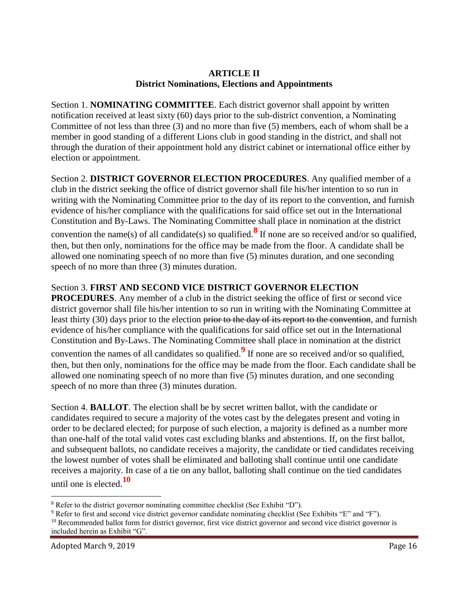## **ARTICLE II District Nominations, Elections and Appointments**

Section 1. **NOMINATING COMMITTEE**. Each district governor shall appoint by written notification received at least sixty (60) days prior to the sub-district convention, a Nominating Committee of not less than three (3) and no more than five (5) members, each of whom shall be a member in good standing of a different Lions club in good standing in the district, and shall not through the duration of their appointment hold any district cabinet or international office either by election or appointment.

Section 2. **DISTRICT GOVERNOR ELECTION PROCEDURES**. Any qualified member of a club in the district seeking the office of district governor shall file his/her intention to so run in writing with the Nominating Committee prior to the day of its report to the convention, and furnish evidence of his/her compliance with the qualifications for said office set out in the International Constitution and By-Laws. The Nominating Committee shall place in nomination at the district convention the name(s) of all candidate(s) so qualified.**<sup>8</sup>** If none are so received and/or so qualified, then, but then only, nominations for the office may be made from the floor. A candidate shall be allowed one nominating speech of no more than five (5) minutes duration, and one seconding speech of no more than three (3) minutes duration.

## Section 3. **FIRST AND SECOND VICE DISTRICT GOVERNOR ELECTION**

**PROCEDURES**. Any member of a club in the district seeking the office of first or second vice district governor shall file his/her intention to so run in writing with the Nominating Committee at least thirty (30) days prior to the election <del>prior to the day of its report to the convention</del>, and furnish evidence of his/her compliance with the qualifications for said office set out in the International Constitution and By-Laws. The Nominating Committee shall place in nomination at the district

convention the names of all candidates so qualified.**<sup>9</sup>** If none are so received and/or so qualified, then, but then only, nominations for the office may be made from the floor. Each candidate shall be allowed one nominating speech of no more than five (5) minutes duration, and one seconding speech of no more than three (3) minutes duration.

Section 4. **BALLOT**. The election shall be by secret written ballot, with the candidate or candidates required to secure a majority of the votes cast by the delegates present and voting in order to be declared elected; for purpose of such election, a majority is defined as a number more than one-half of the total valid votes cast excluding blanks and abstentions. If, on the first ballot, and subsequent ballots, no candidate receives a majority, the candidate or tied candidates receiving the lowest number of votes shall be eliminated and balloting shall continue until one candidate receives a majority. In case of a tie on any ballot, balloting shall continue on the tied candidates until one is elected.**<sup>10</sup>**

 $\ddot{\phantom{a}}$ 

<sup>8</sup> Refer to the district governor nominating committee checklist (See Exhibit "D").

<sup>9</sup> Refer to first and second vice district governor candidate nominating checklist (See Exhibits "E" and "F").

 $10$  Recommended ballot form for district governor, first vice district governor and second vice district governor is included herein as Exhibit "G".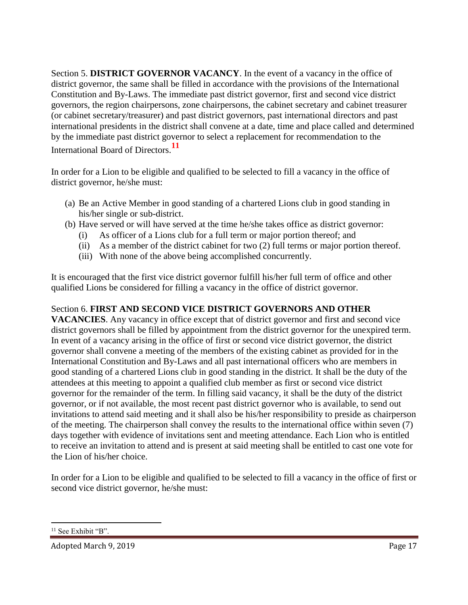Section 5. **DISTRICT GOVERNOR VACANCY**. In the event of a vacancy in the office of district governor, the same shall be filled in accordance with the provisions of the International Constitution and By-Laws. The immediate past district governor, first and second vice district governors, the region chairpersons, zone chairpersons, the cabinet secretary and cabinet treasurer (or cabinet secretary/treasurer) and past district governors, past international directors and past international presidents in the district shall convene at a date, time and place called and determined by the immediate past district governor to select a replacement for recommendation to the International Board of Directors.**<sup>11</sup>**

In order for a Lion to be eligible and qualified to be selected to fill a vacancy in the office of district governor, he/she must:

- (a) Be an Active Member in good standing of a chartered Lions club in good standing in his/her single or sub-district.
- (b) Have served or will have served at the time he/she takes office as district governor:
	- (i) As officer of a Lions club for a full term or major portion thereof; and
	- (ii) As a member of the district cabinet for two (2) full terms or major portion thereof.
	- (iii) With none of the above being accomplished concurrently.

It is encouraged that the first vice district governor fulfill his/her full term of office and other qualified Lions be considered for filling a vacancy in the office of district governor.

## Section 6. **FIRST AND SECOND VICE DISTRICT GOVERNORS AND OTHER**

**VACANCIES**. Any vacancy in office except that of district governor and first and second vice district governors shall be filled by appointment from the district governor for the unexpired term. In event of a vacancy arising in the office of first or second vice district governor, the district governor shall convene a meeting of the members of the existing cabinet as provided for in the International Constitution and By-Laws and all past international officers who are members in good standing of a chartered Lions club in good standing in the district. It shall be the duty of the attendees at this meeting to appoint a qualified club member as first or second vice district governor for the remainder of the term. In filling said vacancy, it shall be the duty of the district governor, or if not available, the most recent past district governor who is available, to send out invitations to attend said meeting and it shall also be his/her responsibility to preside as chairperson of the meeting. The chairperson shall convey the results to the international office within seven (7) days together with evidence of invitations sent and meeting attendance. Each Lion who is entitled to receive an invitation to attend and is present at said meeting shall be entitled to cast one vote for the Lion of his/her choice.

In order for a Lion to be eligible and qualified to be selected to fill a vacancy in the office of first or second vice district governor, he/she must:

 $\overline{a}$ 

<sup>&</sup>lt;sup>11</sup> See Exhibit "B".

Adopted March 9, 2019 Page 17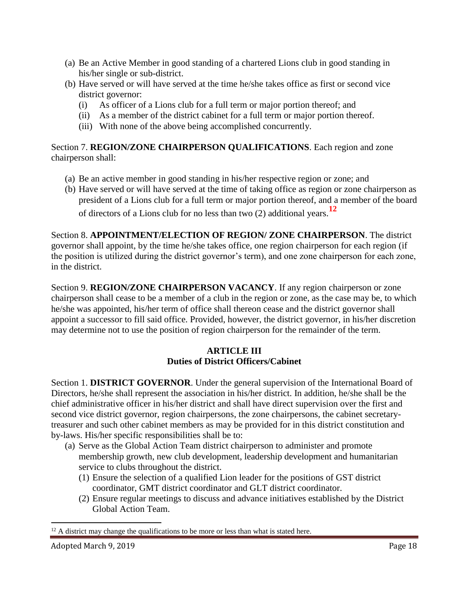- (a) Be an Active Member in good standing of a chartered Lions club in good standing in his/her single or sub-district.
- (b) Have served or will have served at the time he/she takes office as first or second vice district governor:
	- (i) As officer of a Lions club for a full term or major portion thereof; and
	- (ii) As a member of the district cabinet for a full term or major portion thereof.
	- (iii) With none of the above being accomplished concurrently.

Section 7. **REGION/ZONE CHAIRPERSON QUALIFICATIONS**. Each region and zone chairperson shall:

- (a) Be an active member in good standing in his/her respective region or zone; and
- (b) Have served or will have served at the time of taking office as region or zone chairperson as president of a Lions club for a full term or major portion thereof, and a member of the board

of directors of a Lions club for no less than two (2) additional years.**<sup>12</sup>**

Section 8. **APPOINTMENT/ELECTION OF REGION/ ZONE CHAIRPERSON**. The district governor shall appoint, by the time he/she takes office, one region chairperson for each region (if the position is utilized during the district governor's term), and one zone chairperson for each zone, in the district.

Section 9. **REGION/ZONE CHAIRPERSON VACANCY**. If any region chairperson or zone chairperson shall cease to be a member of a club in the region or zone, as the case may be, to which he/she was appointed, his/her term of office shall thereon cease and the district governor shall appoint a successor to fill said office. Provided, however, the district governor, in his/her discretion may determine not to use the position of region chairperson for the remainder of the term.

## **ARTICLE III Duties of District Officers/Cabinet**

Section 1. **DISTRICT GOVERNOR**. Under the general supervision of the International Board of Directors, he/she shall represent the association in his/her district. In addition, he/she shall be the chief administrative officer in his/her district and shall have direct supervision over the first and second vice district governor, region chairpersons, the zone chairpersons, the cabinet secretarytreasurer and such other cabinet members as may be provided for in this district constitution and by-laws. His/her specific responsibilities shall be to:

- (a) Serve as the Global Action Team district chairperson to administer and promote membership growth, new club development, leadership development and humanitarian service to clubs throughout the district.
	- (1) Ensure the selection of a qualified Lion leader for the positions of GST district coordinator, GMT district coordinator and GLT district coordinator.
	- (2) Ensure regular meetings to discuss and advance initiatives established by the District Global Action Team.

 $\overline{a}$ 

 $12$  A district may change the qualifications to be more or less than what is stated here.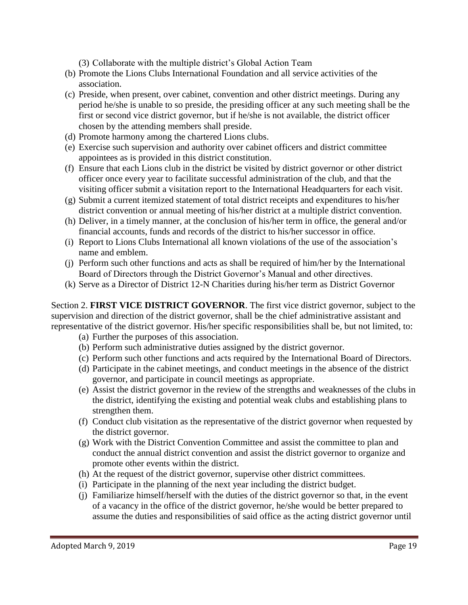(3) Collaborate with the multiple district's Global Action Team

- (b) Promote the Lions Clubs International Foundation and all service activities of the association.
- (c) Preside, when present, over cabinet, convention and other district meetings. During any period he/she is unable to so preside, the presiding officer at any such meeting shall be the first or second vice district governor, but if he/she is not available, the district officer chosen by the attending members shall preside.
- (d) Promote harmony among the chartered Lions clubs.
- (e) Exercise such supervision and authority over cabinet officers and district committee appointees as is provided in this district constitution.
- (f) Ensure that each Lions club in the district be visited by district governor or other district officer once every year to facilitate successful administration of the club, and that the visiting officer submit a visitation report to the International Headquarters for each visit.
- (g) Submit a current itemized statement of total district receipts and expenditures to his/her district convention or annual meeting of his/her district at a multiple district convention.
- (h) Deliver, in a timely manner, at the conclusion of his/her term in office, the general and/or financial accounts, funds and records of the district to his/her successor in office.
- (i) Report to Lions Clubs International all known violations of the use of the association's name and emblem.
- (j) Perform such other functions and acts as shall be required of him/her by the International Board of Directors through the District Governor's Manual and other directives.
- (k) Serve as a Director of District 12-N Charities during his/her term as District Governor

Section 2. **FIRST VICE DISTRICT GOVERNOR**. The first vice district governor, subject to the supervision and direction of the district governor, shall be the chief administrative assistant and representative of the district governor. His/her specific responsibilities shall be, but not limited, to:

- (a) Further the purposes of this association.
- (b) Perform such administrative duties assigned by the district governor.
- (c) Perform such other functions and acts required by the International Board of Directors.
- (d) Participate in the cabinet meetings, and conduct meetings in the absence of the district governor, and participate in council meetings as appropriate.
- (e) Assist the district governor in the review of the strengths and weaknesses of the clubs in the district, identifying the existing and potential weak clubs and establishing plans to strengthen them.
- (f) Conduct club visitation as the representative of the district governor when requested by the district governor.
- (g) Work with the District Convention Committee and assist the committee to plan and conduct the annual district convention and assist the district governor to organize and promote other events within the district.
- (h) At the request of the district governor, supervise other district committees.
- (i) Participate in the planning of the next year including the district budget.
- (j) Familiarize himself/herself with the duties of the district governor so that, in the event of a vacancy in the office of the district governor, he/she would be better prepared to assume the duties and responsibilities of said office as the acting district governor until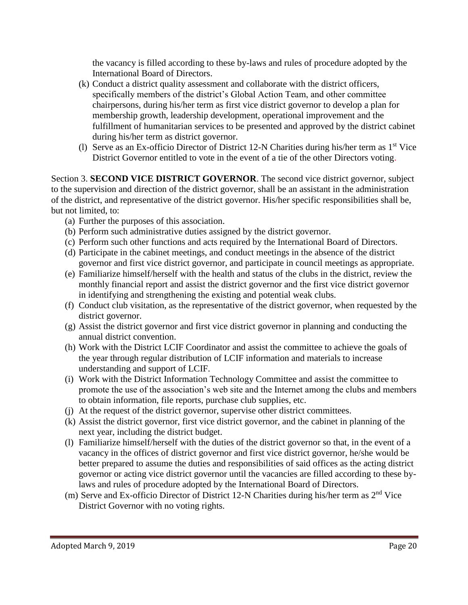the vacancy is filled according to these by-laws and rules of procedure adopted by the International Board of Directors.

- (k) Conduct a district quality assessment and collaborate with the district officers, specifically members of the district's Global Action Team, and other committee chairpersons, during his/her term as first vice district governor to develop a plan for membership growth, leadership development, operational improvement and the fulfillment of humanitarian services to be presented and approved by the district cabinet during his/her term as district governor.
- (l) Serve as an Ex-officio Director of District 12-N Charities during his/her term as 1st Vice District Governor entitled to vote in the event of a tie of the other Directors voting.

Section 3. **SECOND VICE DISTRICT GOVERNOR**. The second vice district governor, subject to the supervision and direction of the district governor, shall be an assistant in the administration of the district, and representative of the district governor. His/her specific responsibilities shall be, but not limited, to:

- (a) Further the purposes of this association.
- (b) Perform such administrative duties assigned by the district governor.
- (c) Perform such other functions and acts required by the International Board of Directors.
- (d) Participate in the cabinet meetings, and conduct meetings in the absence of the district governor and first vice district governor, and participate in council meetings as appropriate.
- (e) Familiarize himself/herself with the health and status of the clubs in the district, review the monthly financial report and assist the district governor and the first vice district governor in identifying and strengthening the existing and potential weak clubs.
- (f) Conduct club visitation, as the representative of the district governor, when requested by the district governor.
- (g) Assist the district governor and first vice district governor in planning and conducting the annual district convention.
- (h) Work with the District LCIF Coordinator and assist the committee to achieve the goals of the year through regular distribution of LCIF information and materials to increase understanding and support of LCIF.
- (i) Work with the District Information Technology Committee and assist the committee to promote the use of the association's web site and the Internet among the clubs and members to obtain information, file reports, purchase club supplies, etc.
- (j) At the request of the district governor, supervise other district committees.
- (k) Assist the district governor, first vice district governor, and the cabinet in planning of the next year, including the district budget.
- (l) Familiarize himself/herself with the duties of the district governor so that, in the event of a vacancy in the offices of district governor and first vice district governor, he/she would be better prepared to assume the duties and responsibilities of said offices as the acting district governor or acting vice district governor until the vacancies are filled according to these bylaws and rules of procedure adopted by the International Board of Directors.
- (m) Serve and Ex-officio Director of District 12-N Charities during his/her term as  $2<sup>nd</sup>$  Vice District Governor with no voting rights.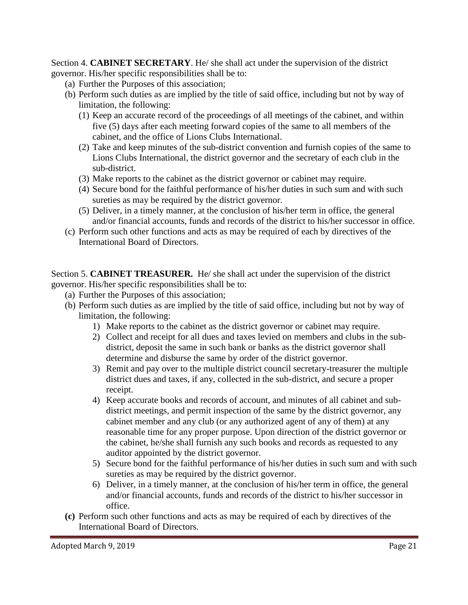Section 4. **CABINET SECRETARY**. He/ she shall act under the supervision of the district governor. His/her specific responsibilities shall be to:

- (a) Further the Purposes of this association;
- (b) Perform such duties as are implied by the title of said office, including but not by way of limitation, the following:
	- (1) Keep an accurate record of the proceedings of all meetings of the cabinet, and within five (5) days after each meeting forward copies of the same to all members of the cabinet, and the office of Lions Clubs International.
	- (2) Take and keep minutes of the sub-district convention and furnish copies of the same to Lions Clubs International, the district governor and the secretary of each club in the sub-district.
	- (3) Make reports to the cabinet as the district governor or cabinet may require.
	- (4) Secure bond for the faithful performance of his/her duties in such sum and with such sureties as may be required by the district governor.
	- (5) Deliver, in a timely manner, at the conclusion of his/her term in office, the general and/or financial accounts, funds and records of the district to his/her successor in office.
- (c) Perform such other functions and acts as may be required of each by directives of the International Board of Directors.

Section 5. **CABINET TREASURER.** He/ she shall act under the supervision of the district governor. His/her specific responsibilities shall be to:

- (a) Further the Purposes of this association;
- (b) Perform such duties as are implied by the title of said office, including but not by way of limitation, the following:
	- 1) Make reports to the cabinet as the district governor or cabinet may require.
	- 2) Collect and receipt for all dues and taxes levied on members and clubs in the subdistrict, deposit the same in such bank or banks as the district governor shall determine and disburse the same by order of the district governor.
	- 3) Remit and pay over to the multiple district council secretary-treasurer the multiple district dues and taxes, if any, collected in the sub-district, and secure a proper receipt.
	- 4) Keep accurate books and records of account, and minutes of all cabinet and subdistrict meetings, and permit inspection of the same by the district governor, any cabinet member and any club (or any authorized agent of any of them) at any reasonable time for any proper purpose. Upon direction of the district governor or the cabinet, he/she shall furnish any such books and records as requested to any auditor appointed by the district governor.
	- 5) Secure bond for the faithful performance of his/her duties in such sum and with such sureties as may be required by the district governor.
	- 6) Deliver, in a timely manner, at the conclusion of his/her term in office, the general and/or financial accounts, funds and records of the district to his/her successor in office.
- **(c)** Perform such other functions and acts as may be required of each by directives of the International Board of Directors.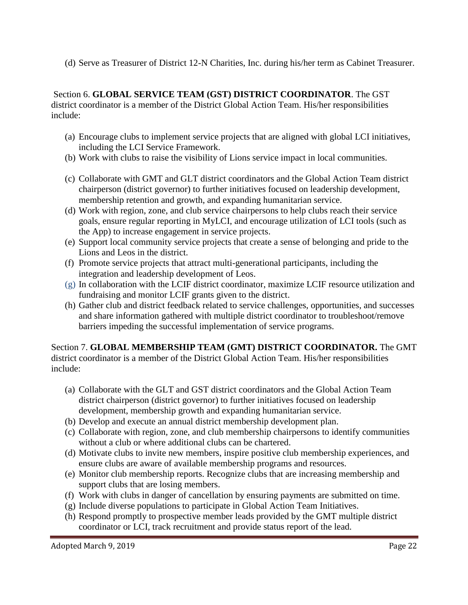(d) Serve as Treasurer of District 12-N Charities, Inc. during his/her term as Cabinet Treasurer.

Section 6. **GLOBAL SERVICE TEAM (GST) DISTRICT COORDINATOR**. The GST district coordinator is a member of the District Global Action Team. His/her responsibilities include:

- (a) Encourage clubs to implement service projects that are aligned with global LCI initiatives, including the LCI Service Framework.
- (b) Work with clubs to raise the visibility of Lions service impact in local communities.
- (c) Collaborate with GMT and GLT district coordinators and the Global Action Team district chairperson (district governor) to further initiatives focused on leadership development, membership retention and growth, and expanding humanitarian service.
- (d) Work with region, zone, and club service chairpersons to help clubs reach their service goals, ensure regular reporting in MyLCI, and encourage utilization of LCI tools (such as the App) to increase engagement in service projects.
- (e) Support local community service projects that create a sense of belonging and pride to the Lions and Leos in the district.
- (f) Promote service projects that attract multi-generational participants, including the integration and leadership development of Leos.
- (g) In collaboration with the LCIF district coordinator, maximize LCIF resource utilization and fundraising and monitor LCIF grants given to the district.
- (h) Gather club and district feedback related to service challenges, opportunities, and successes and share information gathered with multiple district coordinator to troubleshoot/remove barriers impeding the successful implementation of service programs.

Section 7. **GLOBAL MEMBERSHIP TEAM (GMT) DISTRICT COORDINATOR.** The GMT district coordinator is a member of the District Global Action Team. His/her responsibilities include:

- (a) Collaborate with the GLT and GST district coordinators and the Global Action Team district chairperson (district governor) to further initiatives focused on leadership development, membership growth and expanding humanitarian service.
- (b) Develop and execute an annual district membership development plan.
- (c) Collaborate with region, zone, and club membership chairpersons to identify communities without a club or where additional clubs can be chartered.
- (d) Motivate clubs to invite new members, inspire positive club membership experiences, and ensure clubs are aware of available membership programs and resources.
- (e) Monitor club membership reports. Recognize clubs that are increasing membership and support clubs that are losing members.
- (f) Work with clubs in danger of cancellation by ensuring payments are submitted on time.
- (g) Include diverse populations to participate in Global Action Team Initiatives.
- (h) Respond promptly to prospective member leads provided by the GMT multiple district coordinator or LCI, track recruitment and provide status report of the lead.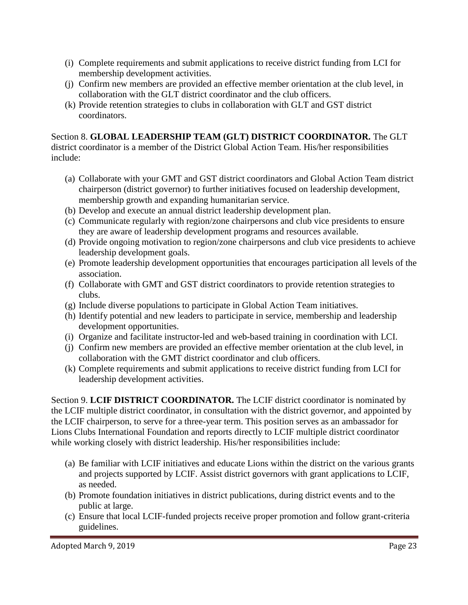- (i) Complete requirements and submit applications to receive district funding from LCI for membership development activities.
- (j) Confirm new members are provided an effective member orientation at the club level, in collaboration with the GLT district coordinator and the club officers.
- (k) Provide retention strategies to clubs in collaboration with GLT and GST district coordinators.

Section 8. **GLOBAL LEADERSHIP TEAM (GLT) DISTRICT COORDINATOR.** The GLT district coordinator is a member of the District Global Action Team. His/her responsibilities include:

- (a) Collaborate with your GMT and GST district coordinators and Global Action Team district chairperson (district governor) to further initiatives focused on leadership development, membership growth and expanding humanitarian service.
- (b) Develop and execute an annual district leadership development plan.
- (c) Communicate regularly with region/zone chairpersons and club vice presidents to ensure they are aware of leadership development programs and resources available.
- (d) Provide ongoing motivation to region/zone chairpersons and club vice presidents to achieve leadership development goals.
- (e) Promote leadership development opportunities that encourages participation all levels of the association.
- (f) Collaborate with GMT and GST district coordinators to provide retention strategies to clubs.
- (g) Include diverse populations to participate in Global Action Team initiatives.
- (h) Identify potential and new leaders to participate in service, membership and leadership development opportunities.
- (i) Organize and facilitate instructor-led and web-based training in coordination with LCI.
- (j) Confirm new members are provided an effective member orientation at the club level, in collaboration with the GMT district coordinator and club officers.
- (k) Complete requirements and submit applications to receive district funding from LCI for leadership development activities.

Section 9. **LCIF DISTRICT COORDINATOR.** The LCIF district coordinator is nominated by the LCIF multiple district coordinator, in consultation with the district governor, and appointed by the LCIF chairperson, to serve for a three-year term. This position serves as an ambassador for Lions Clubs International Foundation and reports directly to LCIF multiple district coordinator while working closely with district leadership. His/her responsibilities include:

- (a) Be familiar with LCIF initiatives and educate Lions within the district on the various grants and projects supported by LCIF. Assist district governors with grant applications to LCIF, as needed.
- (b) Promote foundation initiatives in district publications, during district events and to the public at large.
- (c) Ensure that local LCIF-funded projects receive proper promotion and follow grant-criteria guidelines.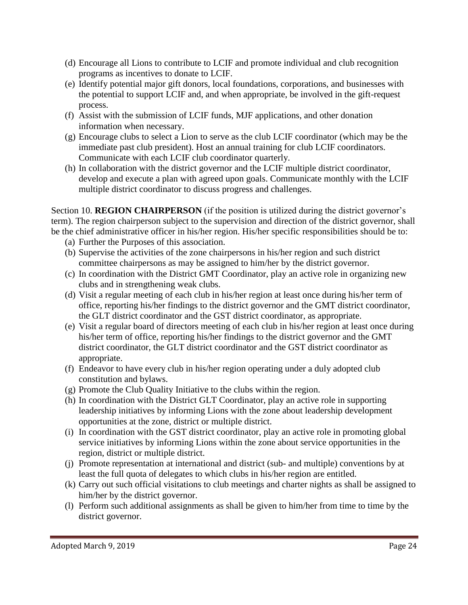- (d) Encourage all Lions to contribute to LCIF and promote individual and club recognition programs as incentives to donate to LCIF.
- (e) Identify potential major gift donors, local foundations, corporations, and businesses with the potential to support LCIF and, and when appropriate, be involved in the gift-request process.
- (f) Assist with the submission of LCIF funds, MJF applications, and other donation information when necessary.
- (g) Encourage clubs to select a Lion to serve as the club LCIF coordinator (which may be the immediate past club president). Host an annual training for club LCIF coordinators. Communicate with each LCIF club coordinator quarterly.
- (h) In collaboration with the district governor and the LCIF multiple district coordinator, develop and execute a plan with agreed upon goals. Communicate monthly with the LCIF multiple district coordinator to discuss progress and challenges.

Section 10. **REGION CHAIRPERSON** (if the position is utilized during the district governor's term). The region chairperson subject to the supervision and direction of the district governor, shall be the chief administrative officer in his/her region. His/her specific responsibilities should be to:

- (a) Further the Purposes of this association.
- (b) Supervise the activities of the zone chairpersons in his/her region and such district committee chairpersons as may be assigned to him/her by the district governor.
- (c) In coordination with the District GMT Coordinator, play an active role in organizing new clubs and in strengthening weak clubs.
- (d) Visit a regular meeting of each club in his/her region at least once during his/her term of office, reporting his/her findings to the district governor and the GMT district coordinator, the GLT district coordinator and the GST district coordinator, as appropriate.
- (e) Visit a regular board of directors meeting of each club in his/her region at least once during his/her term of office, reporting his/her findings to the district governor and the GMT district coordinator, the GLT district coordinator and the GST district coordinator as appropriate.
- (f) Endeavor to have every club in his/her region operating under a duly adopted club constitution and bylaws.
- (g) Promote the Club Quality Initiative to the clubs within the region.
- (h) In coordination with the District GLT Coordinator, play an active role in supporting leadership initiatives by informing Lions with the zone about leadership development opportunities at the zone, district or multiple district.
- (i) In coordination with the GST district coordinator, play an active role in promoting global service initiatives by informing Lions within the zone about service opportunities in the region, district or multiple district.
- (j) Promote representation at international and district (sub- and multiple) conventions by at least the full quota of delegates to which clubs in his/her region are entitled.
- (k) Carry out such official visitations to club meetings and charter nights as shall be assigned to him/her by the district governor.
- (l) Perform such additional assignments as shall be given to him/her from time to time by the district governor.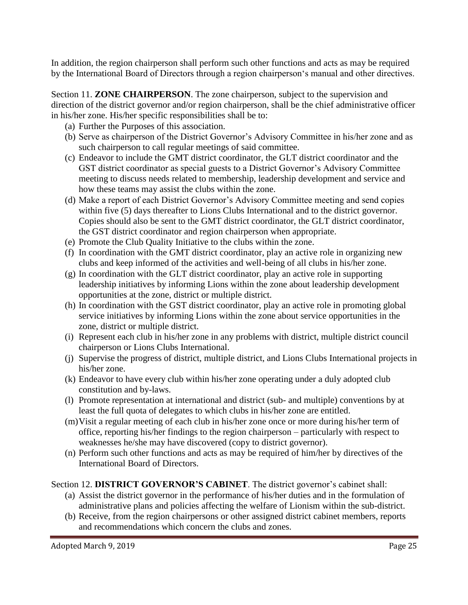In addition, the region chairperson shall perform such other functions and acts as may be required by the International Board of Directors through a region chairperson's manual and other directives.

Section 11. **ZONE CHAIRPERSON**. The zone chairperson, subject to the supervision and direction of the district governor and/or region chairperson, shall be the chief administrative officer in his/her zone. His/her specific responsibilities shall be to:

- (a) Further the Purposes of this association.
- (b) Serve as chairperson of the District Governor's Advisory Committee in his/her zone and as such chairperson to call regular meetings of said committee.
- (c) Endeavor to include the GMT district coordinator, the GLT district coordinator and the GST district coordinator as special guests to a District Governor's Advisory Committee meeting to discuss needs related to membership, leadership development and service and how these teams may assist the clubs within the zone.
- (d) Make a report of each District Governor's Advisory Committee meeting and send copies within five (5) days thereafter to Lions Clubs International and to the district governor. Copies should also be sent to the GMT district coordinator, the GLT district coordinator, the GST district coordinator and region chairperson when appropriate.
- (e) Promote the Club Quality Initiative to the clubs within the zone.
- (f) In coordination with the GMT district coordinator, play an active role in organizing new clubs and keep informed of the activities and well-being of all clubs in his/her zone.
- (g) In coordination with the GLT district coordinator, play an active role in supporting leadership initiatives by informing Lions within the zone about leadership development opportunities at the zone, district or multiple district.
- (h) In coordination with the GST district coordinator, play an active role in promoting global service initiatives by informing Lions within the zone about service opportunities in the zone, district or multiple district.
- (i) Represent each club in his/her zone in any problems with district, multiple district council chairperson or Lions Clubs International.
- (j) Supervise the progress of district, multiple district, and Lions Clubs International projects in his/her zone.
- (k) Endeavor to have every club within his/her zone operating under a duly adopted club constitution and by-laws.
- (l) Promote representation at international and district (sub- and multiple) conventions by at least the full quota of delegates to which clubs in his/her zone are entitled.
- (m)Visit a regular meeting of each club in his/her zone once or more during his/her term of office, reporting his/her findings to the region chairperson – particularly with respect to weaknesses he/she may have discovered (copy to district governor).
- (n) Perform such other functions and acts as may be required of him/her by directives of the International Board of Directors.

#### Section 12. **DISTRICT GOVERNOR'S CABINET**. The district governor's cabinet shall:

- (a) Assist the district governor in the performance of his/her duties and in the formulation of administrative plans and policies affecting the welfare of Lionism within the sub-district.
- (b) Receive, from the region chairpersons or other assigned district cabinet members, reports and recommendations which concern the clubs and zones.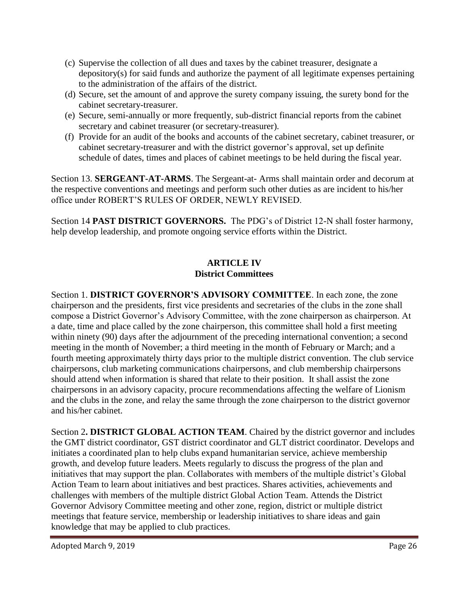- (c) Supervise the collection of all dues and taxes by the cabinet treasurer, designate a depository(s) for said funds and authorize the payment of all legitimate expenses pertaining to the administration of the affairs of the district.
- (d) Secure, set the amount of and approve the surety company issuing, the surety bond for the cabinet secretary-treasurer.
- (e) Secure, semi-annually or more frequently, sub-district financial reports from the cabinet secretary and cabinet treasurer (or secretary-treasurer).
- (f) Provide for an audit of the books and accounts of the cabinet secretary, cabinet treasurer, or cabinet secretary-treasurer and with the district governor's approval, set up definite schedule of dates, times and places of cabinet meetings to be held during the fiscal year.

Section 13. **SERGEANT-AT-ARMS**. The Sergeant-at- Arms shall maintain order and decorum at the respective conventions and meetings and perform such other duties as are incident to his/her office under ROBERT'S RULES OF ORDER, NEWLY REVISED.

Section 14 **PAST DISTRICT GOVERNORS.** The PDG's of District 12-N shall foster harmony, help develop leadership, and promote ongoing service efforts within the District.

### **ARTICLE IV District Committees**

Section 1. **DISTRICT GOVERNOR'S ADVISORY COMMITTEE**. In each zone, the zone chairperson and the presidents, first vice presidents and secretaries of the clubs in the zone shall compose a District Governor's Advisory Committee, with the zone chairperson as chairperson. At a date, time and place called by the zone chairperson, this committee shall hold a first meeting within ninety (90) days after the adjournment of the preceding international convention; a second meeting in the month of November; a third meeting in the month of February or March; and a fourth meeting approximately thirty days prior to the multiple district convention. The club service chairpersons, club marketing communications chairpersons, and club membership chairpersons should attend when information is shared that relate to their position. It shall assist the zone chairpersons in an advisory capacity, procure recommendations affecting the welfare of Lionism and the clubs in the zone, and relay the same through the zone chairperson to the district governor and his/her cabinet.

Section 2**. DISTRICT GLOBAL ACTION TEAM**. Chaired by the district governor and includes the GMT district coordinator, GST district coordinator and GLT district coordinator. Develops and initiates a coordinated plan to help clubs expand humanitarian service, achieve membership growth, and develop future leaders. Meets regularly to discuss the progress of the plan and initiatives that may support the plan. Collaborates with members of the multiple district's Global Action Team to learn about initiatives and best practices. Shares activities, achievements and challenges with members of the multiple district Global Action Team. Attends the District Governor Advisory Committee meeting and other zone, region, district or multiple district meetings that feature service, membership or leadership initiatives to share ideas and gain knowledge that may be applied to club practices.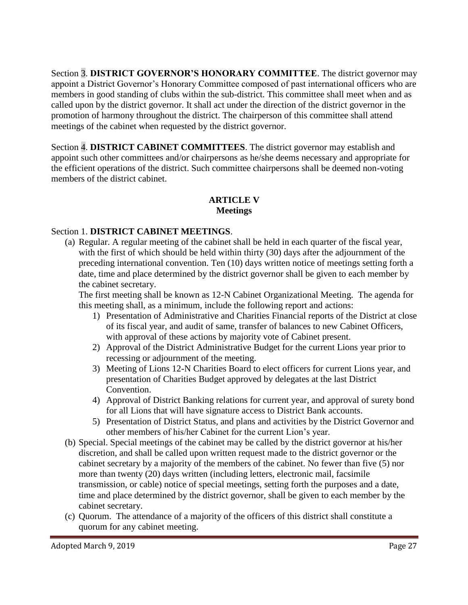Section 3. **DISTRICT GOVERNOR'S HONORARY COMMITTEE**. The district governor may appoint a District Governor's Honorary Committee composed of past international officers who are members in good standing of clubs within the sub-district. This committee shall meet when and as called upon by the district governor. It shall act under the direction of the district governor in the promotion of harmony throughout the district. The chairperson of this committee shall attend meetings of the cabinet when requested by the district governor.

Section 4. **DISTRICT CABINET COMMITTEES**. The district governor may establish and appoint such other committees and/or chairpersons as he/she deems necessary and appropriate for the efficient operations of the district. Such committee chairpersons shall be deemed non-voting members of the district cabinet.

## **ARTICLE V Meetings**

#### Section 1. **DISTRICT CABINET MEETINGS**.

(a) Regular. A regular meeting of the cabinet shall be held in each quarter of the fiscal year, with the first of which should be held within thirty (30) days after the adjournment of the preceding international convention. Ten (10) days written notice of meetings setting forth a date, time and place determined by the district governor shall be given to each member by the cabinet secretary.

The first meeting shall be known as 12-N Cabinet Organizational Meeting. The agenda for this meeting shall, as a minimum, include the following report and actions:

- 1) Presentation of Administrative and Charities Financial reports of the District at close of its fiscal year, and audit of same, transfer of balances to new Cabinet Officers, with approval of these actions by majority vote of Cabinet present.
- 2) Approval of the District Administrative Budget for the current Lions year prior to recessing or adjournment of the meeting.
- 3) Meeting of Lions 12-N Charities Board to elect officers for current Lions year, and presentation of Charities Budget approved by delegates at the last District Convention.
- 4) Approval of District Banking relations for current year, and approval of surety bond for all Lions that will have signature access to District Bank accounts.
- 5) Presentation of District Status, and plans and activities by the District Governor and other members of his/her Cabinet for the current Lion's year.
- (b) Special. Special meetings of the cabinet may be called by the district governor at his/her discretion, and shall be called upon written request made to the district governor or the cabinet secretary by a majority of the members of the cabinet. No fewer than five (5) nor more than twenty (20) days written (including letters, electronic mail, facsimile transmission, or cable) notice of special meetings, setting forth the purposes and a date, time and place determined by the district governor, shall be given to each member by the cabinet secretary.
- (c) Quorum. The attendance of a majority of the officers of this district shall constitute a quorum for any cabinet meeting.

Adopted March 9, 2019 **Page 27**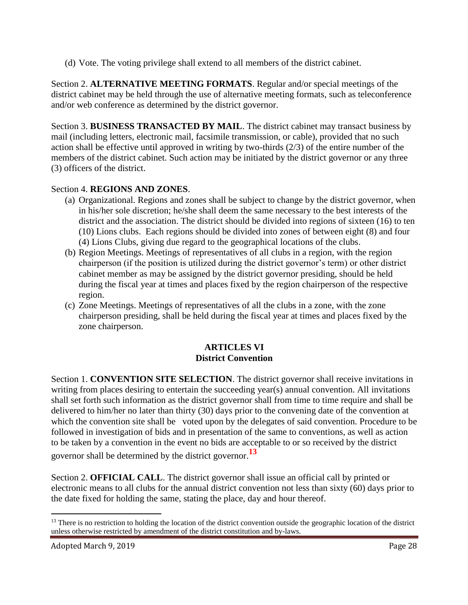(d) Vote. The voting privilege shall extend to all members of the district cabinet.

Section 2. **ALTERNATIVE MEETING FORMATS**. Regular and/or special meetings of the district cabinet may be held through the use of alternative meeting formats, such as teleconference and/or web conference as determined by the district governor.

Section 3. **BUSINESS TRANSACTED BY MAIL**. The district cabinet may transact business by mail (including letters, electronic mail, facsimile transmission, or cable), provided that no such action shall be effective until approved in writing by two-thirds (2/3) of the entire number of the members of the district cabinet. Such action may be initiated by the district governor or any three (3) officers of the district.

## Section 4. **REGIONS AND ZONES**.

- (a) Organizational. Regions and zones shall be subject to change by the district governor, when in his/her sole discretion; he/she shall deem the same necessary to the best interests of the district and the association. The district should be divided into regions of sixteen (16) to ten (10) Lions clubs. Each regions should be divided into zones of between eight (8) and four (4) Lions Clubs, giving due regard to the geographical locations of the clubs.
- (b) Region Meetings. Meetings of representatives of all clubs in a region, with the region chairperson (if the position is utilized during the district governor's term) or other district cabinet member as may be assigned by the district governor presiding, should be held during the fiscal year at times and places fixed by the region chairperson of the respective region.
- (c) Zone Meetings. Meetings of representatives of all the clubs in a zone, with the zone chairperson presiding, shall be held during the fiscal year at times and places fixed by the zone chairperson.

#### **ARTICLES VI District Convention**

Section 1. **CONVENTION SITE SELECTION**. The district governor shall receive invitations in writing from places desiring to entertain the succeeding year(s) annual convention. All invitations shall set forth such information as the district governor shall from time to time require and shall be delivered to him/her no later than thirty (30) days prior to the convening date of the convention at which the convention site shall be voted upon by the delegates of said convention. Procedure to be followed in investigation of bids and in presentation of the same to conventions, as well as action to be taken by a convention in the event no bids are acceptable to or so received by the district

governor shall be determined by the district governor.**<sup>13</sup>**

Section 2. **OFFICIAL CALL**. The district governor shall issue an official call by printed or electronic means to all clubs for the annual district convention not less than sixty (60) days prior to the date fixed for holding the same, stating the place, day and hour thereof.

 $\overline{a}$ 

<sup>&</sup>lt;sup>13</sup> There is no restriction to holding the location of the district convention outside the geographic location of the district unless otherwise restricted by amendment of the district constitution and by-laws.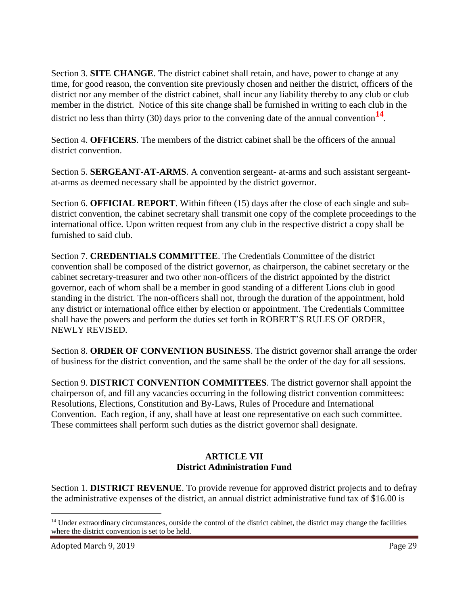Section 3. **SITE CHANGE**. The district cabinet shall retain, and have, power to change at any time, for good reason, the convention site previously chosen and neither the district, officers of the district nor any member of the district cabinet, shall incur any liability thereby to any club or club member in the district. Notice of this site change shall be furnished in writing to each club in the district no less than thirty (30) days prior to the convening date of the annual convention<sup>14</sup>.

Section 4. **OFFICERS**. The members of the district cabinet shall be the officers of the annual district convention.

Section 5. **SERGEANT-AT-ARMS**. A convention sergeant- at-arms and such assistant sergeantat-arms as deemed necessary shall be appointed by the district governor.

Section 6. **OFFICIAL REPORT**. Within fifteen (15) days after the close of each single and subdistrict convention, the cabinet secretary shall transmit one copy of the complete proceedings to the international office. Upon written request from any club in the respective district a copy shall be furnished to said club.

Section 7. **CREDENTIALS COMMITTEE**. The Credentials Committee of the district convention shall be composed of the district governor, as chairperson, the cabinet secretary or the cabinet secretary-treasurer and two other non-officers of the district appointed by the district governor, each of whom shall be a member in good standing of a different Lions club in good standing in the district. The non-officers shall not, through the duration of the appointment, hold any district or international office either by election or appointment. The Credentials Committee shall have the powers and perform the duties set forth in ROBERT'S RULES OF ORDER, NEWLY REVISED.

Section 8. **ORDER OF CONVENTION BUSINESS**. The district governor shall arrange the order of business for the district convention, and the same shall be the order of the day for all sessions.

Section 9. **DISTRICT CONVENTION COMMITTEES**. The district governor shall appoint the chairperson of, and fill any vacancies occurring in the following district convention committees: Resolutions, Elections, Constitution and By-Laws, Rules of Procedure and International Convention. Each region, if any, shall have at least one representative on each such committee. These committees shall perform such duties as the district governor shall designate.

## **ARTICLE VII District Administration Fund**

Section 1. **DISTRICT REVENUE**. To provide revenue for approved district projects and to defray the administrative expenses of the district, an annual district administrative fund tax of \$16.00 is

 $\overline{a}$ 

 $<sup>14</sup>$  Under extraordinary circumstances, outside the control of the district cabinet, the district may change the facilities</sup> where the district convention is set to be held.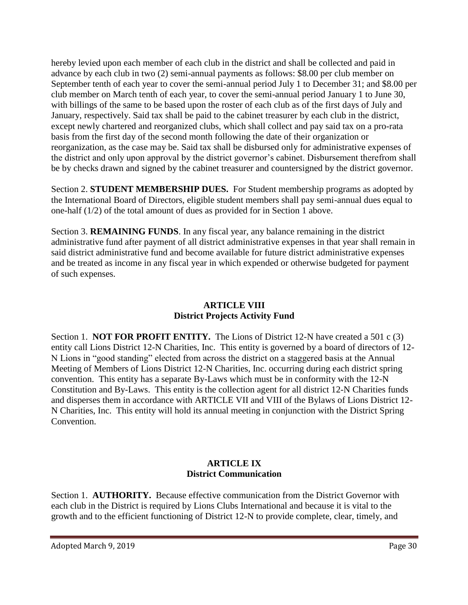hereby levied upon each member of each club in the district and shall be collected and paid in advance by each club in two (2) semi-annual payments as follows: \$8.00 per club member on September tenth of each year to cover the semi-annual period July 1 to December 31; and \$8.00 per club member on March tenth of each year, to cover the semi-annual period January 1 to June 30, with billings of the same to be based upon the roster of each club as of the first days of July and January, respectively. Said tax shall be paid to the cabinet treasurer by each club in the district, except newly chartered and reorganized clubs, which shall collect and pay said tax on a pro-rata basis from the first day of the second month following the date of their organization or reorganization, as the case may be. Said tax shall be disbursed only for administrative expenses of the district and only upon approval by the district governor's cabinet. Disbursement therefrom shall be by checks drawn and signed by the cabinet treasurer and countersigned by the district governor.

Section 2. **STUDENT MEMBERSHIP DUES.** For Student membership programs as adopted by the International Board of Directors, eligible student members shall pay semi-annual dues equal to one-half (1/2) of the total amount of dues as provided for in Section 1 above.

Section 3. **REMAINING FUNDS**. In any fiscal year, any balance remaining in the district administrative fund after payment of all district administrative expenses in that year shall remain in said district administrative fund and become available for future district administrative expenses and be treated as income in any fiscal year in which expended or otherwise budgeted for payment of such expenses.

## **ARTICLE VIII District Projects Activity Fund**

Section 1. **NOT FOR PROFIT ENTITY.** The Lions of District 12-N have created a 501 c (3) entity call Lions District 12-N Charities, Inc. This entity is governed by a board of directors of 12- N Lions in "good standing" elected from across the district on a staggered basis at the Annual Meeting of Members of Lions District 12-N Charities, Inc. occurring during each district spring convention. This entity has a separate By-Laws which must be in conformity with the 12-N Constitution and By-Laws. This entity is the collection agent for all district 12-N Charities funds and disperses them in accordance with ARTICLE VII and VIII of the Bylaws of Lions District 12- N Charities, Inc. This entity will hold its annual meeting in conjunction with the District Spring Convention.

## **ARTICLE IX District Communication**

Section 1. **AUTHORITY.** Because effective communication from the District Governor with each club in the District is required by Lions Clubs International and because it is vital to the growth and to the efficient functioning of District 12-N to provide complete, clear, timely, and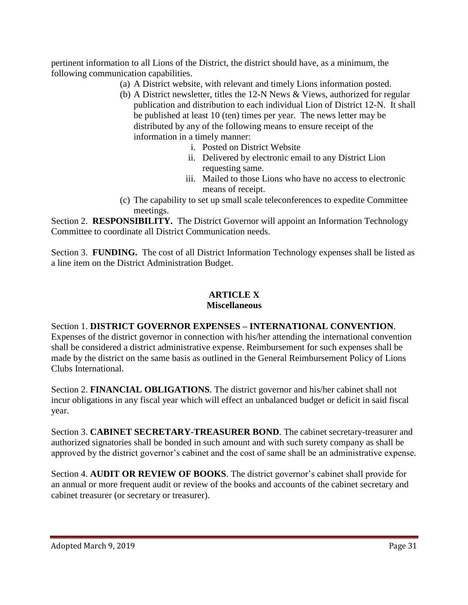pertinent information to all Lions of the District, the district should have, as a minimum, the following communication capabilities.

- (a) A District website, with relevant and timely Lions information posted.
- (b) A District newsletter, titles the 12-N News & Views, authorized for regular publication and distribution to each individual Lion of District 12-N. It shall be published at least 10 (ten) times per year. The news letter may be distributed by any of the following means to ensure receipt of the information in a timely manner:
	- i. Posted on District Website
	- ii. Delivered by electronic email to any District Lion requesting same.
	- iii. Mailed to those Lions who have no access to electronic means of receipt.
- (c) The capability to set up small scale teleconferences to expedite Committee meetings.

Section 2. **RESPONSIBILITY.** The District Governor will appoint an Information Technology Committee to coordinate all District Communication needs.

Section 3. **FUNDING.** The cost of all District Information Technology expenses shall be listed as a line item on the District Administration Budget.

## **ARTICLE X**

#### **Miscellaneous**

#### Section 1. **DISTRICT GOVERNOR EXPENSES – INTERNATIONAL CONVENTION**. Expenses of the district governor in connection with his/her attending the international convention shall be considered a district administrative expense. Reimbursement for such expenses shall be made by the district on the same basis as outlined in the General Reimbursement Policy of Lions

Section 2. **FINANCIAL OBLIGATIONS**. The district governor and his/her cabinet shall not incur obligations in any fiscal year which will effect an unbalanced budget or deficit in said fiscal year.

Section 3. **CABINET SECRETARY-TREASURER BOND**. The cabinet secretary-treasurer and authorized signatories shall be bonded in such amount and with such surety company as shall be approved by the district governor's cabinet and the cost of same shall be an administrative expense.

Section 4. **AUDIT OR REVIEW OF BOOKS**. The district governor's cabinet shall provide for an annual or more frequent audit or review of the books and accounts of the cabinet secretary and cabinet treasurer (or secretary or treasurer).

Clubs International.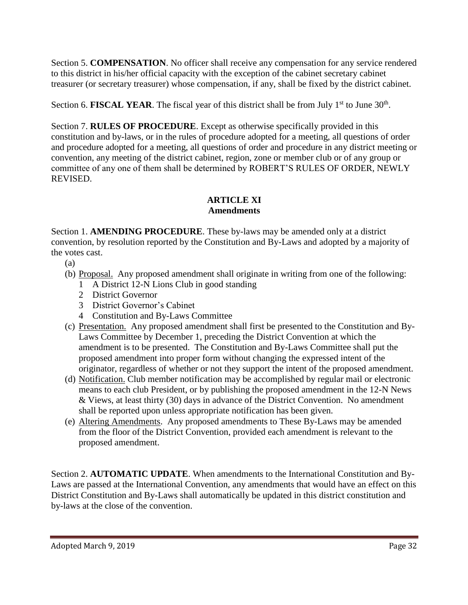Section 5. **COMPENSATION**. No officer shall receive any compensation for any service rendered to this district in his/her official capacity with the exception of the cabinet secretary cabinet treasurer (or secretary treasurer) whose compensation, if any, shall be fixed by the district cabinet.

Section 6. FISCAL YEAR. The fiscal year of this district shall be from July  $1<sup>st</sup>$  to June  $30<sup>th</sup>$ .

Section 7. **RULES OF PROCEDURE**. Except as otherwise specifically provided in this constitution and by-laws, or in the rules of procedure adopted for a meeting, all questions of order and procedure adopted for a meeting, all questions of order and procedure in any district meeting or convention, any meeting of the district cabinet, region, zone or member club or of any group or committee of any one of them shall be determined by ROBERT'S RULES OF ORDER, NEWLY REVISED.

#### **ARTICLE XI Amendments**

Section 1. **AMENDING PROCEDURE**. These by-laws may be amended only at a district convention, by resolution reported by the Constitution and By-Laws and adopted by a majority of the votes cast.

- (a)
- (b) Proposal. Any proposed amendment shall originate in writing from one of the following:
	- 1 A District 12-N Lions Club in good standing
	- 2 District Governor
	- 3 District Governor's Cabinet
	- 4 Constitution and By-Laws Committee
- (c) Presentation. Any proposed amendment shall first be presented to the Constitution and By-Laws Committee by December 1, preceding the District Convention at which the amendment is to be presented. The Constitution and By-Laws Committee shall put the proposed amendment into proper form without changing the expressed intent of the originator, regardless of whether or not they support the intent of the proposed amendment.
- (d) Notification. Club member notification may be accomplished by regular mail or electronic means to each club President, or by publishing the proposed amendment in the 12-N News & Views, at least thirty (30) days in advance of the District Convention. No amendment shall be reported upon unless appropriate notification has been given.
- (e) Altering Amendments. Any proposed amendments to These By-Laws may be amended from the floor of the District Convention, provided each amendment is relevant to the proposed amendment.

Section 2. **AUTOMATIC UPDATE**. When amendments to the International Constitution and By-Laws are passed at the International Convention, any amendments that would have an effect on this District Constitution and By-Laws shall automatically be updated in this district constitution and by-laws at the close of the convention.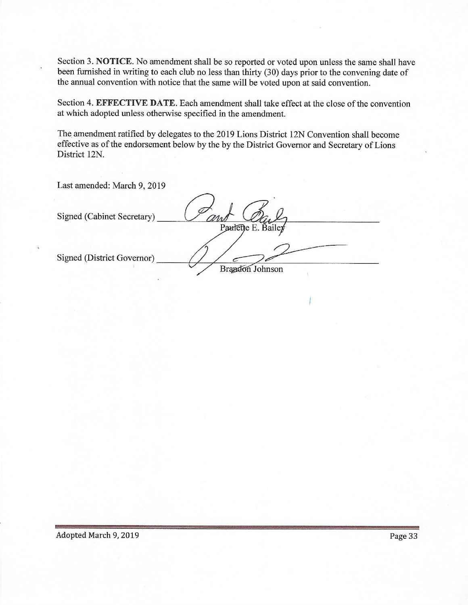Section 3. NOTICE. No amendment shall be so reported or voted upon unless the same shall have been furnished in writing to each club no less than thirty (30) days prior to the convening date of the annual convention with notice that the same will be voted upon at said convention.

Section 4. EFFECTIVE DATE. Each amendment shall take effect at the close of the convention at which adopted unless otherwise specified in the amendment.

The amendment ratified by delegates to the 2019 Lions District 12N Convention shall become effective as of the endorsement below by the by the District Governor and Secretary of Lions District 12N.

Last amended: March 9, 2019

| Signed (Cabinet Secretary)        | Paulette E. Bailey       |
|-----------------------------------|--------------------------|
| <b>Signed (District Governor)</b> | <b>Brandon</b><br>ohnson |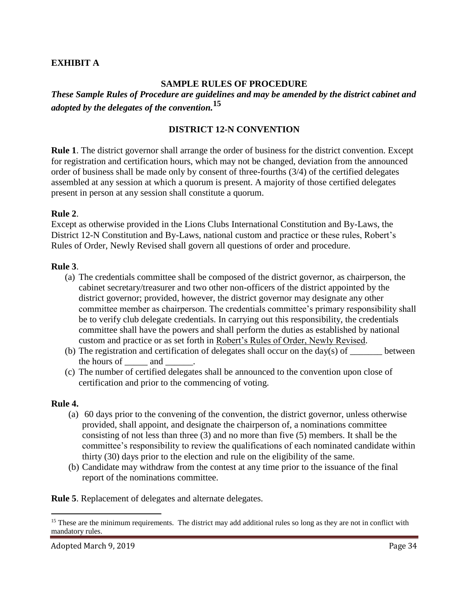#### **EXHIBIT A**

#### **SAMPLE RULES OF PROCEDURE**

*These Sample Rules of Procedure are guidelines and may be amended by the district cabinet and adopted by the delegates of the convention.* **15**

#### **DISTRICT 12-N CONVENTION**

**Rule 1**. The district governor shall arrange the order of business for the district convention. Except for registration and certification hours, which may not be changed, deviation from the announced order of business shall be made only by consent of three-fourths (3/4) of the certified delegates assembled at any session at which a quorum is present. A majority of those certified delegates present in person at any session shall constitute a quorum.

#### **Rule 2**.

Except as otherwise provided in the Lions Clubs International Constitution and By-Laws, the District 12-N Constitution and By-Laws, national custom and practice or these rules, Robert's Rules of Order, Newly Revised shall govern all questions of order and procedure.

#### **Rule 3**.

- (a) The credentials committee shall be composed of the district governor, as chairperson, the cabinet secretary/treasurer and two other non-officers of the district appointed by the district governor; provided, however, the district governor may designate any other committee member as chairperson. The credentials committee's primary responsibility shall be to verify club delegate credentials. In carrying out this responsibility, the credentials committee shall have the powers and shall perform the duties as established by national custom and practice or as set forth in Robert's Rules of Order, Newly Revised.
- (b) The registration and certification of delegates shall occur on the day(s) of between the hours of and
- (c) The number of certified delegates shall be announced to the convention upon close of certification and prior to the commencing of voting.

#### **Rule 4.**

 $\overline{a}$ 

- (a) 60 days prior to the convening of the convention, the district governor, unless otherwise provided, shall appoint, and designate the chairperson of, a nominations committee consisting of not less than three (3) and no more than five (5) members. It shall be the committee's responsibility to review the qualifications of each nominated candidate within thirty (30) days prior to the election and rule on the eligibility of the same.
- (b) Candidate may withdraw from the contest at any time prior to the issuance of the final report of the nominations committee.

**Rule 5**. Replacement of delegates and alternate delegates.

<sup>&</sup>lt;sup>15</sup> These are the minimum requirements. The district may add additional rules so long as they are not in conflict with mandatory rules.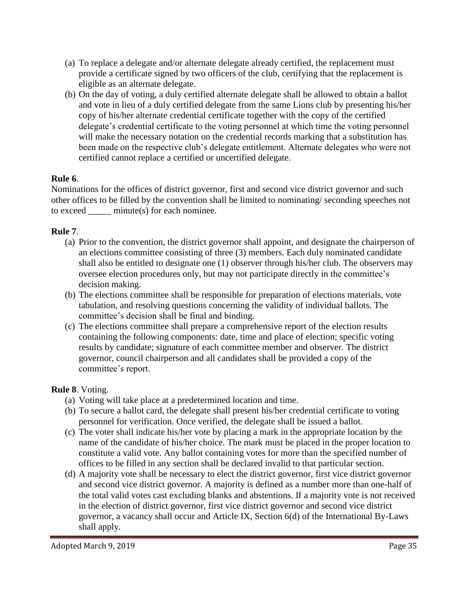- (a) To replace a delegate and/or alternate delegate already certified, the replacement must provide a certificate signed by two officers of the club, certifying that the replacement is eligible as an alternate delegate.
- (b) On the day of voting, a duly certified alternate delegate shall be allowed to obtain a ballot and vote in lieu of a duly certified delegate from the same Lions club by presenting his/her copy of his/her alternate credential certificate together with the copy of the certified delegate's credential certificate to the voting personnel at which time the voting personnel will make the necessary notation on the credential records marking that a substitution has been made on the respective club's delegate entitlement. Alternate delegates who were not certified cannot replace a certified or uncertified delegate.

#### **Rule 6**.

Nominations for the offices of district governor, first and second vice district governor and such other offices to be filled by the convention shall be limited to nominating/ seconding speeches not to exceed \_\_\_\_\_ minute(s) for each nominee.

#### **Rule 7**.

- (a) Prior to the convention, the district governor shall appoint, and designate the chairperson of an elections committee consisting of three (3) members. Each duly nominated candidate shall also be entitled to designate one (1) observer through his/her club. The observers may oversee election procedures only, but may not participate directly in the committee's decision making.
- (b) The elections committee shall be responsible for preparation of elections materials, vote tabulation, and resolving questions concerning the validity of individual ballots. The committee's decision shall be final and binding.
- (c) The elections committee shall prepare a comprehensive report of the election results containing the following components: date, time and place of election; specific voting results by candidate; signature of each committee member and observer. The district governor, council chairperson and all candidates shall be provided a copy of the committee's report.

#### **Rule 8**. Voting.

- (a) Voting will take place at a predetermined location and time.
- (b) To secure a ballot card, the delegate shall present his/her credential certificate to voting personnel for verification. Once verified, the delegate shall be issued a ballot.
- (c) The voter shall indicate his/her vote by placing a mark in the appropriate location by the name of the candidate of his/her choice. The mark must be placed in the proper location to constitute a valid vote. Any ballot containing votes for more than the specified number of offices to be filled in any section shall be declared invalid to that particular section.
- (d) A majority vote shall be necessary to elect the district governor, first vice district governor and second vice district governor. A majority is defined as a number more than one-half of the total valid votes cast excluding blanks and abstentions. If a majority vote is not received in the election of district governor, first vice district governor and second vice district governor, a vacancy shall occur and Article IX, Section 6(d) of the International By-Laws shall apply.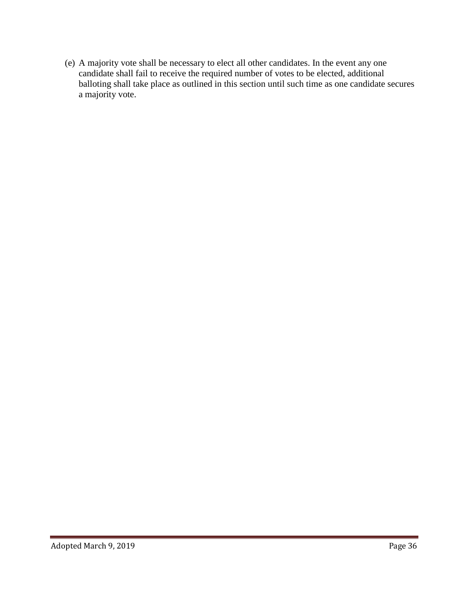(e) A majority vote shall be necessary to elect all other candidates. In the event any one candidate shall fail to receive the required number of votes to be elected, additional balloting shall take place as outlined in this section until such time as one candidate secures a majority vote.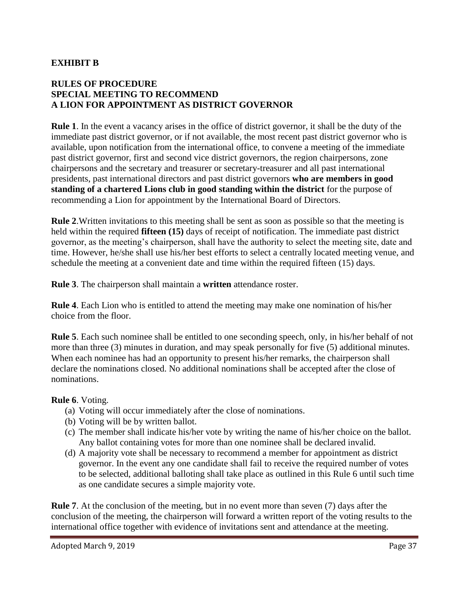### **EXHIBIT B**

### **RULES OF PROCEDURE SPECIAL MEETING TO RECOMMEND A LION FOR APPOINTMENT AS DISTRICT GOVERNOR**

**Rule 1**. In the event a vacancy arises in the office of district governor, it shall be the duty of the immediate past district governor, or if not available, the most recent past district governor who is available, upon notification from the international office, to convene a meeting of the immediate past district governor, first and second vice district governors, the region chairpersons, zone chairpersons and the secretary and treasurer or secretary-treasurer and all past international presidents, past international directors and past district governors **who are members in good standing of a chartered Lions club in good standing within the district** for the purpose of recommending a Lion for appointment by the International Board of Directors.

**Rule 2**.Written invitations to this meeting shall be sent as soon as possible so that the meeting is held within the required **fifteen (15)** days of receipt of notification. The immediate past district governor, as the meeting's chairperson, shall have the authority to select the meeting site, date and time. However, he/she shall use his/her best efforts to select a centrally located meeting venue, and schedule the meeting at a convenient date and time within the required fifteen (15) days.

**Rule 3**. The chairperson shall maintain a **written** attendance roster.

**Rule 4**. Each Lion who is entitled to attend the meeting may make one nomination of his/her choice from the floor.

**Rule 5**. Each such nominee shall be entitled to one seconding speech, only, in his/her behalf of not more than three (3) minutes in duration, and may speak personally for five (5) additional minutes. When each nominee has had an opportunity to present his/her remarks, the chairperson shall declare the nominations closed. No additional nominations shall be accepted after the close of nominations.

#### **Rule 6**. Voting.

- (a) Voting will occur immediately after the close of nominations.
- (b) Voting will be by written ballot.
- (c) The member shall indicate his/her vote by writing the name of his/her choice on the ballot. Any ballot containing votes for more than one nominee shall be declared invalid.
- (d) A majority vote shall be necessary to recommend a member for appointment as district governor. In the event any one candidate shall fail to receive the required number of votes to be selected, additional balloting shall take place as outlined in this Rule 6 until such time as one candidate secures a simple majority vote.

**Rule 7**. At the conclusion of the meeting, but in no event more than seven (7) days after the conclusion of the meeting, the chairperson will forward a written report of the voting results to the international office together with evidence of invitations sent and attendance at the meeting.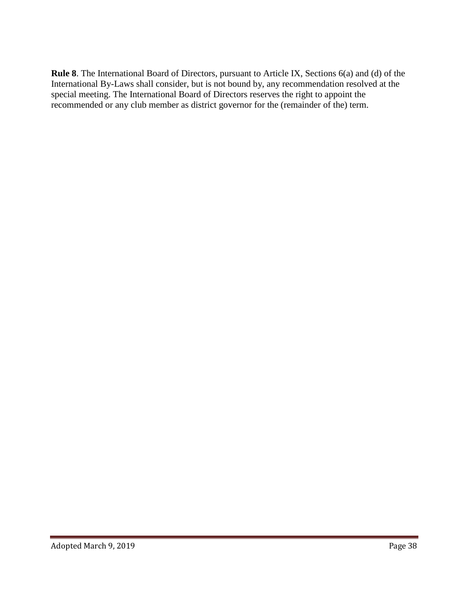**Rule 8**. The International Board of Directors, pursuant to Article IX, Sections 6(a) and (d) of the International By-Laws shall consider, but is not bound by, any recommendation resolved at the special meeting. The International Board of Directors reserves the right to appoint the recommended or any club member as district governor for the (remainder of the) term.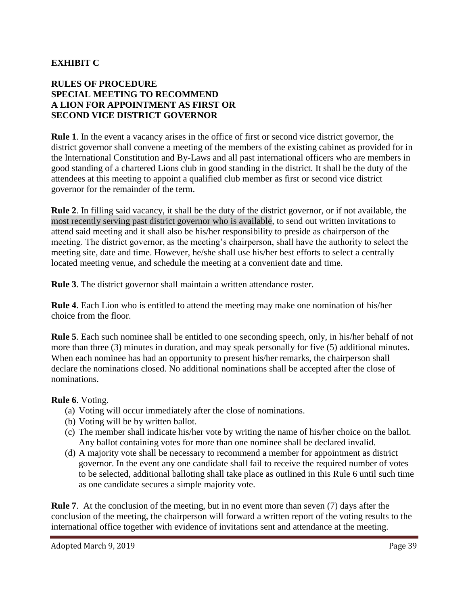## **EXHIBIT C**

### **RULES OF PROCEDURE SPECIAL MEETING TO RECOMMEND A LION FOR APPOINTMENT AS FIRST OR SECOND VICE DISTRICT GOVERNOR**

**Rule 1**. In the event a vacancy arises in the office of first or second vice district governor, the district governor shall convene a meeting of the members of the existing cabinet as provided for in the International Constitution and By-Laws and all past international officers who are members in good standing of a chartered Lions club in good standing in the district. It shall be the duty of the attendees at this meeting to appoint a qualified club member as first or second vice district governor for the remainder of the term.

**Rule 2**. In filling said vacancy, it shall be the duty of the district governor, or if not available, the most recently serving past district governor who is available, to send out written invitations to attend said meeting and it shall also be his/her responsibility to preside as chairperson of the meeting. The district governor, as the meeting's chairperson, shall have the authority to select the meeting site, date and time. However, he/she shall use his/her best efforts to select a centrally located meeting venue, and schedule the meeting at a convenient date and time.

**Rule 3**. The district governor shall maintain a written attendance roster.

**Rule 4**. Each Lion who is entitled to attend the meeting may make one nomination of his/her choice from the floor.

**Rule 5**. Each such nominee shall be entitled to one seconding speech, only, in his/her behalf of not more than three (3) minutes in duration, and may speak personally for five (5) additional minutes. When each nominee has had an opportunity to present his/her remarks, the chairperson shall declare the nominations closed. No additional nominations shall be accepted after the close of nominations.

#### **Rule 6**. Voting.

- (a) Voting will occur immediately after the close of nominations.
- (b) Voting will be by written ballot.
- (c) The member shall indicate his/her vote by writing the name of his/her choice on the ballot. Any ballot containing votes for more than one nominee shall be declared invalid.
- (d) A majority vote shall be necessary to recommend a member for appointment as district governor. In the event any one candidate shall fail to receive the required number of votes to be selected, additional balloting shall take place as outlined in this Rule 6 until such time as one candidate secures a simple majority vote.

**Rule 7**. At the conclusion of the meeting, but in no event more than seven (7) days after the conclusion of the meeting, the chairperson will forward a written report of the voting results to the international office together with evidence of invitations sent and attendance at the meeting.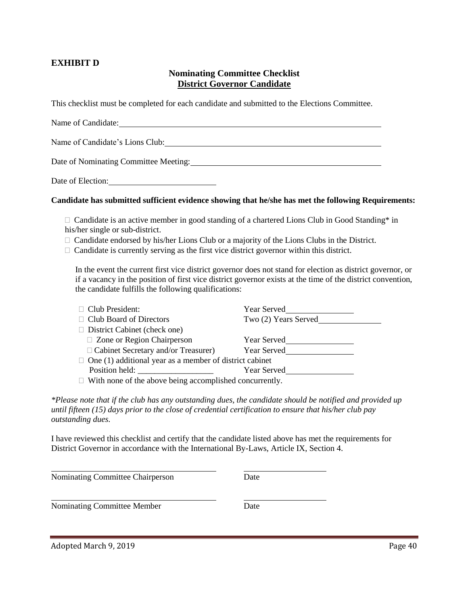#### **EXHIBIT D**

#### **Nominating Committee Checklist District Governor Candidate**

This checklist must be completed for each candidate and submitted to the Elections Committee.

| Name of Candidate:                    |
|---------------------------------------|
| Name of Candidate's Lions Club:       |
| Date of Nominating Committee Meeting: |

Date of Election:

#### **Candidate has submitted sufficient evidence showing that he/she has met the following Requirements:**

 $\Box$  Candidate is an active member in good standing of a chartered Lions Club in Good Standing\* in his/her single or sub-district.

- Candidate endorsed by his/her Lions Club or a majority of the Lions Clubs in the District.
- $\Box$  Candidate is currently serving as the first vice district governor within this district.

In the event the current first vice district governor does not stand for election as district governor, or if a vacancy in the position of first vice district governor exists at the time of the district convention, the candidate fulfills the following qualifications:

| $\Box$ Club President:                                                                                         | Year Served          |
|----------------------------------------------------------------------------------------------------------------|----------------------|
| $\Box$ Club Board of Directors                                                                                 | Two (2) Years Served |
| $\Box$ District Cabinet (check one)                                                                            |                      |
| $\Box$ Zone or Region Chairperson                                                                              | Year Served          |
| □ Cabinet Secretary and/or Treasurer)                                                                          | Year Served          |
| $\Box$ One (1) additional year as a member of district cabinet                                                 |                      |
| Position held:                                                                                                 | Year Served          |
| rende de la construcción de la construcción de la construcción de la construcción de la construcción de la con |                      |

 $\Box$  With none of the above being accomplished concurrently.

*\*Please note that if the club has any outstanding dues, the candidate should be notified and provided up until fifteen (15) days prior to the close of credential certification to ensure that his/her club pay outstanding dues.* 

I have reviewed this checklist and certify that the candidate listed above has met the requirements for District Governor in accordance with the International By-Laws, Article IX, Section 4.

Nominating Committee Chairperson Date

Nominating Committee Member Date

Adopted March 9, 2019 Page 40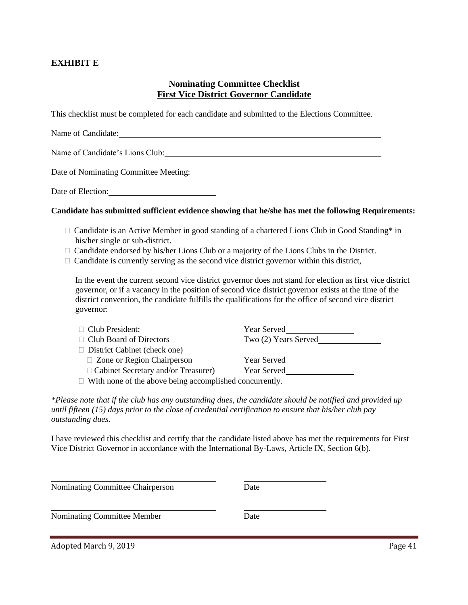#### **EXHIBIT E**

#### **Nominating Committee Checklist First Vice District Governor Candidate**

This checklist must be completed for each candidate and submitted to the Elections Committee.

| Name of Candidate:                    |
|---------------------------------------|
| Name of Candidate's Lions Club:       |
| Date of Nominating Committee Meeting: |

Date of Election:

#### **Candidate has submitted sufficient evidence showing that he/she has met the following Requirements:**

- □ Candidate is an Active Member in good standing of a chartered Lions Club in Good Standing\* in his/her single or sub-district.
- $\Box$  Candidate endorsed by his/her Lions Club or a majority of the Lions Clubs in the District.
- $\Box$  Candidate is currently serving as the second vice district governor within this district,

In the event the current second vice district governor does not stand for election as first vice district governor, or if a vacancy in the position of second vice district governor exists at the time of the district convention, the candidate fulfills the qualifications for the office of second vice district governor:

| $\Box$ Club President:                                        | <b>Year Served</b>   |
|---------------------------------------------------------------|----------------------|
| $\Box$ Club Board of Directors                                | Two (2) Years Served |
| $\Box$ District Cabinet (check one)                           |                      |
| $\Box$ Zone or Region Chairperson                             | <b>Year Served</b>   |
| $\Box$ Cabinet Secretary and/or Treasurer)                    | <b>Year Served</b>   |
| $\Box$ With none of the above being accomplished concurrently |                      |

 $\Box$  With none of the above being accomplished concurrently.

*\*Please note that if the club has any outstanding dues, the candidate should be notified and provided up until fifteen (15) days prior to the close of credential certification to ensure that his/her club pay outstanding dues.* 

I have reviewed this checklist and certify that the candidate listed above has met the requirements for First Vice District Governor in accordance with the International By-Laws, Article IX, Section 6(b).

Nominating Committee Chairperson Date

Nominating Committee Member Date

Adopted March 9, 2019 **Page 41**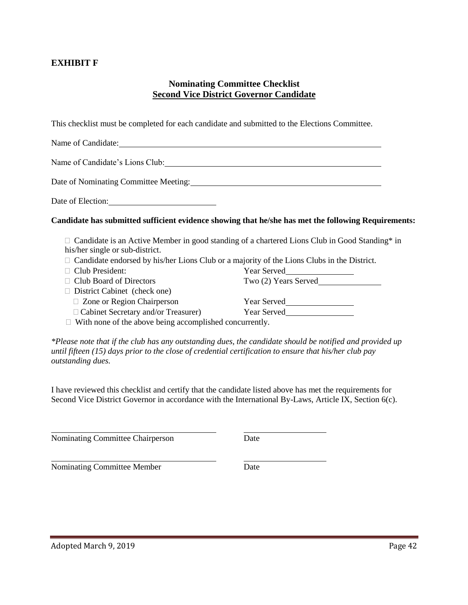### **EXHIBIT F**

#### **Nominating Committee Checklist Second Vice District Governor Candidate**

This checklist must be completed for each candidate and submitted to the Elections Committee.

| Name of Candidate:                                                                                              |                                                                                                      |
|-----------------------------------------------------------------------------------------------------------------|------------------------------------------------------------------------------------------------------|
| Name of Candidate's Lions Club: 1997                                                                            |                                                                                                      |
| Date of Nominating Committee Meeting: 2008. [2016] The Committee Meeting:                                       |                                                                                                      |
| Date of Election: 2000 and 2000 and 2000 and 2000 and 2000 and 2000 and 2000 and 2000 and 2000 and 2000 and 200 |                                                                                                      |
|                                                                                                                 | Candidate has submitted sufficient evidence showing that he/she has met the following Requirements:  |
|                                                                                                                 | $\Box$ Candidate is an Active Member in good standing of a chartered Lions Club in Good Standing* in |
| his/her single or sub-district.                                                                                 |                                                                                                      |
| $\Box$ Candidate endorsed by his/her Lions Club or a majority of the Lions Clubs in the District.               |                                                                                                      |
| $\Box$ Club President:                                                                                          | Year Served<br><u>Letter</u>                                                                         |
| $\Box$ Club Board of Directors                                                                                  | Two (2) Years Served                                                                                 |
| $\Box$ District Cabinet (check one)                                                                             |                                                                                                      |
| $\Box$ Zone or Region Chairperson                                                                               |                                                                                                      |
| □ Cabinet Secretary and/or Treasurer) Year Served                                                               |                                                                                                      |
| $\Box$ With none of the above being accomplished concurrently.                                                  |                                                                                                      |

*\*Please note that if the club has any outstanding dues, the candidate should be notified and provided up until fifteen (15) days prior to the close of credential certification to ensure that his/her club pay outstanding dues.*

I have reviewed this checklist and certify that the candidate listed above has met the requirements for Second Vice District Governor in accordance with the International By-Laws, Article IX, Section 6(c).

Nominating Committee Chairperson Date

Nominating Committee Member Date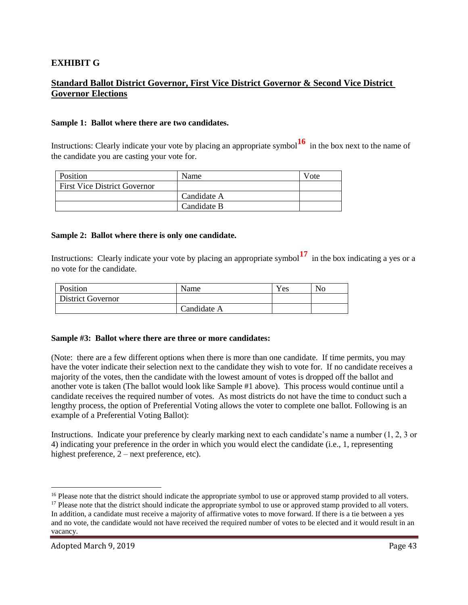#### **EXHIBIT G**

## **Standard Ballot District Governor, First Vice District Governor & Second Vice District Governor Elections**

#### **Sample 1: Ballot where there are two candidates.**

Instructions: Clearly indicate your vote by placing an appropriate symbol**<sup>16</sup>** in the box next to the name of the candidate you are casting your vote for.

| Position                            | Name        | Vote |
|-------------------------------------|-------------|------|
| <b>First Vice District Governor</b> |             |      |
|                                     | Candidate A |      |
|                                     | Candidate B |      |

#### **Sample 2: Ballot where there is only one candidate.**

Instructions: Clearly indicate your vote by placing an appropriate symbol<sup>17</sup> in the box indicating a yes or a no vote for the candidate.

| Position                 | Name        | Yes | No |
|--------------------------|-------------|-----|----|
| <b>District Governor</b> |             |     |    |
|                          | Candidate A |     |    |

#### **Sample #3: Ballot where there are three or more candidates:**

(Note: there are a few different options when there is more than one candidate. If time permits, you may have the voter indicate their selection next to the candidate they wish to vote for. If no candidate receives a majority of the votes, then the candidate with the lowest amount of votes is dropped off the ballot and another vote is taken (The ballot would look like Sample #1 above). This process would continue until a candidate receives the required number of votes. As most districts do not have the time to conduct such a lengthy process, the option of Preferential Voting allows the voter to complete one ballot. Following is an example of a Preferential Voting Ballot):

Instructions. Indicate your preference by clearly marking next to each candidate's name a number (1, 2, 3 or 4) indicating your preference in the order in which you would elect the candidate (i.e., 1, representing highest preference,  $2$  – next preference, etc).

 $\overline{a}$ 

<sup>&</sup>lt;sup>16</sup> Please note that the district should indicate the appropriate symbol to use or approved stamp provided to all voters.

<sup>&</sup>lt;sup>17</sup> Please note that the district should indicate the appropriate symbol to use or approved stamp provided to all voters. In addition, a candidate must receive a majority of affirmative votes to move forward. If there is a tie between a yes and no vote, the candidate would not have received the required number of votes to be elected and it would result in an vacancy.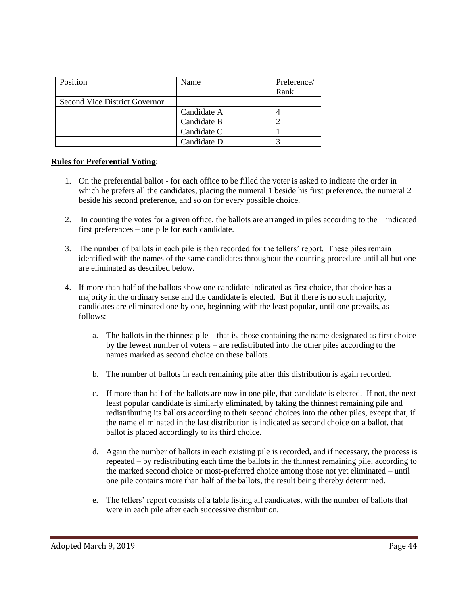| Position                      | Name        | Preference/ |
|-------------------------------|-------------|-------------|
|                               |             | Rank        |
| Second Vice District Governor |             |             |
|                               | Candidate A |             |
|                               | Candidate B |             |
|                               | Candidate C |             |
|                               | Candidate D |             |

#### **Rules for Preferential Voting**:

- 1. On the preferential ballot for each office to be filled the voter is asked to indicate the order in which he prefers all the candidates, placing the numeral 1 beside his first preference, the numeral 2 beside his second preference, and so on for every possible choice.
- 2. In counting the votes for a given office, the ballots are arranged in piles according to the indicated first preferences – one pile for each candidate.
- 3. The number of ballots in each pile is then recorded for the tellers' report. These piles remain identified with the names of the same candidates throughout the counting procedure until all but one are eliminated as described below.
- 4. If more than half of the ballots show one candidate indicated as first choice, that choice has a majority in the ordinary sense and the candidate is elected. But if there is no such majority, candidates are eliminated one by one, beginning with the least popular, until one prevails, as follows:
	- a. The ballots in the thinnest pile that is, those containing the name designated as first choice by the fewest number of voters – are redistributed into the other piles according to the names marked as second choice on these ballots.
	- b. The number of ballots in each remaining pile after this distribution is again recorded.
	- c. If more than half of the ballots are now in one pile, that candidate is elected. If not, the next least popular candidate is similarly eliminated, by taking the thinnest remaining pile and redistributing its ballots according to their second choices into the other piles, except that, if the name eliminated in the last distribution is indicated as second choice on a ballot, that ballot is placed accordingly to its third choice.
	- d. Again the number of ballots in each existing pile is recorded, and if necessary, the process is repeated – by redistributing each time the ballots in the thinnest remaining pile, according to the marked second choice or most-preferred choice among those not yet eliminated – until one pile contains more than half of the ballots, the result being thereby determined.
	- e. The tellers' report consists of a table listing all candidates, with the number of ballots that were in each pile after each successive distribution.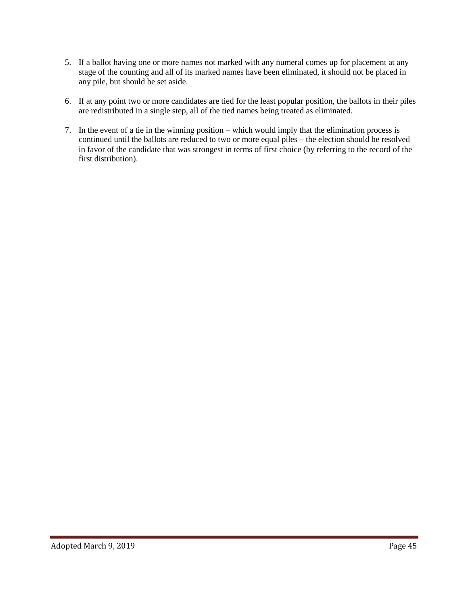- 5. If a ballot having one or more names not marked with any numeral comes up for placement at any stage of the counting and all of its marked names have been eliminated, it should not be placed in any pile, but should be set aside.
- 6. If at any point two or more candidates are tied for the least popular position, the ballots in their piles are redistributed in a single step, all of the tied names being treated as eliminated.
- 7. In the event of a tie in the winning position which would imply that the elimination process is continued until the ballots are reduced to two or more equal piles – the election should be resolved in favor of the candidate that was strongest in terms of first choice (by referring to the record of the first distribution).